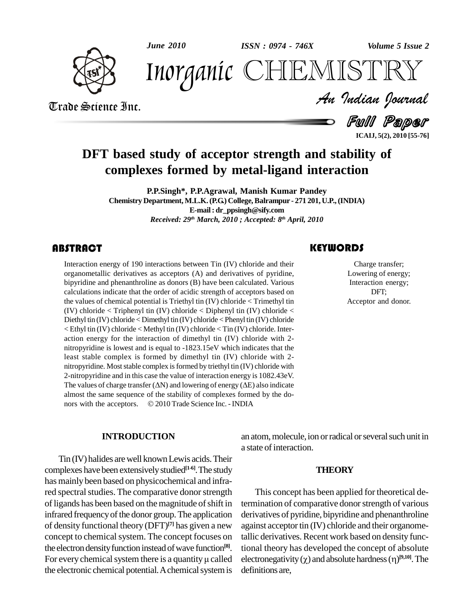

*June 2010 Volume 5 Issue 2 ISSN : 0974 - 746X*



*Volume 5 Issue 2*<br>ISTRY<br>Indian Iournal Inorganic CHEMISTRY

Trade Science Inc. Trade Science Inc.

Full Paper **ICAIJ, 5(2), 2010 [55-76]**

## **DFT based study of acceptor strength and stability of complexes formed by metal-ligand interaction**

**P.P.Singh\*, P.P.Agrawal, Manish Kumar Pandey Chemistry Department, M.L.K.(P.G.) College,Balrampur - 271 201, U.P.,(INDIA) E-mail: [dr\\_ppsingh@sify.com](mailto:dr_ppsingh@sify.com)** *Received: 29 th March, 2010 ; Accepted: 8 th April, 2010*

Interaction energy of 190<br>
organometallic derivative<br>
bipyridine and phenanthro Interaction energy of 190 interactions between Tin (IV) chloride and their organometallic derivatives as acceptors (A) and derivatives of pyridine, bipyridine and phenanthroline as donors (B) have been calculated. Various calculations indicate that the order of acidic strength of acceptors based on the values of chemical potential is Triethyl tin (IV) chloride < Trimethyl tin (IV) chloride  $\langle$  Triphenyl tin (IV) chloride  $\langle$  Diphenyl tin (IV) chloride  $\langle$ Diethyl tin (IV) chloride < Dimethyl tin (IV) chloride < Phenyl tin (IV) chloride < Ethyl tin (IV) chloride < Methyl tin (IV) chloride < Tin (IV) chloride. Inter action energy for the interaction of dimethyl tin  $(IV)$  chloride with 2-nitropyridine is lowest and is equal to  $-1823.15 \text{eV}$  which indicates that the least stable complex is formed by dimethyl tin (IV) chloride with 2-nitropyridine. Most stable complex is formed by triethyl tin (IV) chloride with 2-nitropyridine and in this case the value of interaction energy is  $1082.43 \text{eV}$ . mitropyridine. Most stable complex is formed by triethyl tin (IV) chloride with<br>2-nitropyridine and in this case the value of interaction energy is 1082.43eV.<br>The values of charge transfer ( $\Delta N$ ) and lowering of energy ( almost the same sequence of the stability of complexes formed by the do- The values of charge transfer  $(AN)$  and lowering of energy  $(AE)$  also indicate almost the same sequence of the stability of complexes formed by the donors with the acceptors.  $\textcircled{2010}$  Trade Science Inc. - INDIA

#### **INTRODUCTION**

Tin (IV) halides arewell knownLewis acids.Their complexes havebeen extensivelystudied **[1-6]**.The study has mainlybeen based on physicochemical and infrared spectral studies. The comparative donor strength of ligands has been based on the magnitude of shift in infrared frequency of the donor group. The application of density functional theory (DFT) **[7]** has given a new concept to chemical system. The concept focuses on tallic do<br>the electron density function instead of wave function<sup>[8]</sup> tional t<br>For every chemical system there is a quantity  $\mu$  called electron the electron density function instead of wave function<sup>[8]</sup>. the electronic chemical potential. A chemical system is

#### **KEYWORDS**

The set of the charge transfer;<br>
Lowering of energy;<br>
Interaction energy; Charge transfer; Lowering of energy; DFT; Acceptor and donor.

an atom, molecule, ion or radical or several such unit in a state of interaction.

#### **THEORY**

**[8]**. tional theory has developed the concept of absolute This concept has been applied for theoretical determination of comparative donor strength of various derivatives of pyridine, bipyridine and phenanthroline against acceptor  $tin$  (IV) chloride and their organometallic derivatives. Recent work based on density functallic derivatives. Recent work based on density functional theory has developed the concept of absolute electronegativity  $(\chi)$  and absolute hardness  $(\eta)^{[9,10]}$ . The definitions are,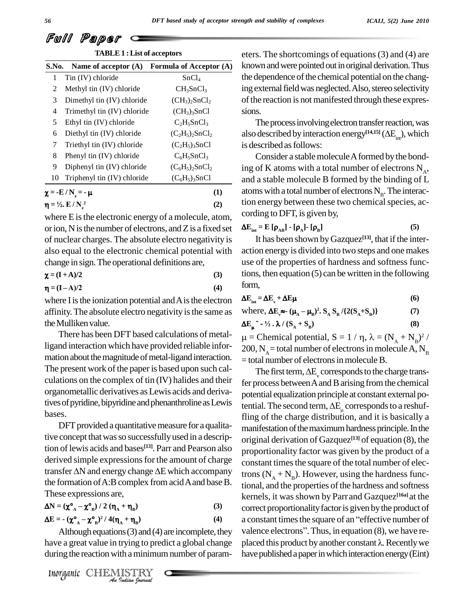| <i>ICAIJ</i> , $5(2)$ <i>June</i> $2010$ |  |  |  |
|------------------------------------------|--|--|--|
|------------------------------------------|--|--|--|

| <b>TABLE 1: List of acceptors</b> |                                           |                                      |  |  |  |  |  |  |  |
|-----------------------------------|-------------------------------------------|--------------------------------------|--|--|--|--|--|--|--|
| S.No.                             | Name of acceptor $(A)$                    | Formula of Acceptor (A)              |  |  |  |  |  |  |  |
| 1                                 | Tin (IV) chloride                         | SnCl <sub>4</sub>                    |  |  |  |  |  |  |  |
| 2                                 | Methyl tin (IV) chloride                  | $CH_3SnCl_3$                         |  |  |  |  |  |  |  |
| 3                                 | Dimethyl tin (IV) chloride                | $(CH_3)_2$ SnCl <sub>2</sub>         |  |  |  |  |  |  |  |
| 4                                 | Trimethyl tin (IV) chloride               | (CH <sub>3</sub> ) <sub>3</sub> SnCl |  |  |  |  |  |  |  |
| 5                                 | Ethyl tin (IV) chloride                   | $C_2H_5SnCl_3$                       |  |  |  |  |  |  |  |
| 6                                 | Diethyl tin (IV) chloride                 | $(C_2H_5)_2SnCl_2$                   |  |  |  |  |  |  |  |
| 7                                 | Triethyl tin (IV) chloride                | $(C_2H_5)_3SnCl$                     |  |  |  |  |  |  |  |
| 8                                 | Phenyl tin (IV) chloride                  | $C_6H_5SnCl_3$                       |  |  |  |  |  |  |  |
| 9                                 | Diphenyl tin (IV) chloride                | $(C_6H_5)_2SnCl_2$                   |  |  |  |  |  |  |  |
| 10                                | Triphenyl tin (IV) chloride               | $(C_6H_5)_3SnCl$                     |  |  |  |  |  |  |  |
|                                   | $\chi = -E/N_z = -\mu$                    | (1)                                  |  |  |  |  |  |  |  |
|                                   | $\eta = \frac{1}{2}$ . E / N <sup>2</sup> | (2)                                  |  |  |  |  |  |  |  |

| where E is the electronic energy of a molecule, atom,      | cording to DFT, is given by,                                      |     |
|------------------------------------------------------------|-------------------------------------------------------------------|-----|
| or ion, N is the number of electrons, and Z is a fixed set | $\Delta E_{int} = E [\rho_{AB}] - [\rho_A] - [\rho_B]$            | (5) |
| of nuclear charges. The absolute electro negativity is     | It has been shown by Gazquez <sup>[13]</sup> , that if the inter- |     |
| also equal to the electronic chemical potential with       | action energy is divided into two steps and one makes             |     |
| change in sign. The operational definitions are,           | use of the properties of hardness and softness func-              |     |

| $\chi = (I + A)/2$ | (3) |  |
|--------------------|-----|--|
| $\eta = (I - A)/2$ | (4) |  |

| $\eta = (I - A)/2$ | (4) |
|--------------------|-----|
|--------------------|-----|

where I is the ionization potential and A is the electron affinity.The absolute electro negativity isthe same as the Mulliken value.

There has been DFT based calculations of metalligand interaction which have provided reliable infor mation about the magnitude of metal-ligand interaction.  $=$  total number of electrons in molecule B. The present work of the paper is based upon such calculations on the complex of tin (IV) halides and their organometallic derivatives asLewis acids and derivatives of pyridine, bipyridine and phenanthroline as Lewis bases.

DFT provided a quantitative measure for a qualitative concept that was so successfully used in a description of lewis acids and bases<sup>[13]</sup>. Parr and Pearson also propor<br>derived simple expressions for the amount of charge constar<br>transfer  $\Delta N$  and energy change  $\Delta E$  which accompany trons ( derived simple expressions for the amount of charge the formation of A:B complex from acid A and base B. These expressions are,<br>  $\Delta N = (\chi^{\circ}{}_{A} - \chi^{\circ}{}_{B}) / 2 (\eta_{A} + \eta_{B})$  $\tilde{\cdot}$ 

$$
\Delta N = (\chi^o_{A} - \chi^o_{B}) / 2 (\eta_A + \eta_B)
$$
\n(3)  
\n
$$
\Delta E = -(\chi^o_{A} - \chi^o_{B})^2 / 4(\eta_A + \eta_B)
$$
\n(4)

$$
\Delta E = -(\chi^{\circ}{}_{A} - \chi^{\circ}{}_{B})^{2} / 4(\eta_{A} + \eta_{B})
$$
\n(4)

 $\Delta E = -(\chi^{\circ}{}_{A} - \chi^{\circ}{}_{B})^{2} / 4(\eta_{A} + \eta_{B})$ <br> *Although equations (3) and (4) are incompletally*<br> *Indian Indian Indian is a minimum number of p<br>
<i>Inorganic* CHEMISTRY Although equations  $(3)$  and  $(4)$  are incomplete, they have a great value in trying to predict a global change placed this product by another constant  $\lambda$ . Recently we during the reaction with a minimum number of param-

eters. The shortcomings of equations(3) and (4) are known and were pointed out in original derivation. Thus the dependence of the chemical potential on the changing external field was neglected. Also, stereo selectivity of the reaction is not manifested through these expres-

sions.<br>The process involving electron transfer reaction, was sions.<br>The process involving electron transfer reaction, was<br>also described by interaction energy<sup>[14,15]</sup> ( $\Delta E_{in}$ ), which is described as follows:

Consider a stable molecule A formed by the bonding of K atoms with a total number of electrons  $N_{A}$ , and a stable molecule B formed by the binding of L atoms with a total number of electrons  $N_{\text{B}}$ . The interaction energy between these two chemical species, ac- $\Delta E_{\text{int}} = E[\rho_{AB}] - [\rho_A] - [\rho_B]$ 

$$
\Delta E_{int} = E [\rho_{AB}] - [\rho_A] - [\rho_B]
$$
 (5)

It has been shown byGazquez **[13]**, that if the inter use of the properties of hardness and softness functions, then equation  $(5)$  can be written in the following form,  $\mathbf{E}_{\text{int}} = \Delta \mathbf{E}_{\text{v}} + \Delta \mathbf{E} \boldsymbol{\mu}$  (6)

| $\Delta E_{int} = \Delta E_v + \Delta E \mu$                                | (6) |
|-----------------------------------------------------------------------------|-----|
| where, $\Delta E_v \approx -(\mu_A - \mu_B)^2$ . $S_A S_B / {2(S_A + S_B)}$ | (7) |

where, 
$$
\Delta E_v \approx (\mu_A - \mu_B)^2
$$
.  $S_A S_B / {2(S_A + S_B)}$  (7)

where, 
$$
\Delta E_v \approx (\mu_A - \mu_B)^2
$$
.  $S_A S_B / \{2(S_A + S_B)\}$  (7)  
\n $\Delta E_{\mu}^{\prime} \sim 1/2$ .  $\lambda / (S_A + S_B)$  (8)

here,  $\Delta E_{\mu} \approx (\mu_A - \mu_B)^2 \cdot S_A S_B / \{2(S_A + S_B)\}$  (1)<br>  $E_{\mu} \sim -\frac{1}{2} \cdot \lambda / (S_A + S_B)$  (8)<br>
= Chemical potential,  $S = 1 / \eta$ ,  $\lambda = (N_A + N_B)^2 /$ 200, N<sub>A</sub> = total number of electrons in molecule A, N<sub>B</sub>

The first term,  $\Delta E_v$  corresponds to the charge transfer process between A and B arising from the chemical potential equalization principle at constant external pofer process between A and B arising from the chemical<br>potential equalization principle at constant external po-<br>tential. The second term,  $\Delta E_{\perp}$  corresponds to a reshuffling of the charge distribution, and it is basically a manifestation of the maximum hardness principle. In the original derivation of Gazquez **[13]** of equation (8), the proportionality factor was given by the product of a constant times the square of the total number of electrons  $(N_A + N_B)$ . However, using the hardness functional, and the properties of the hardness and softness kernels, it was shown by Parr and Gazquez<sup>[16a]</sup> at the<br>correct proportionality factor is given by the product of<br>a constant times the square of an "effective number of correct proportionality factor is given by the product of correct proportionality factor is given by the product of<br>a constant times the square of an ''effective number of<br>valence electrons''. Thus, in equation (8), we have rea constant times the square of an "effective number of<br>valence electrons". Thus, in equation (8), we have re-<br>placed this product by another constant  $\lambda$ . Recently we have published a paper in which interaction energy (Eint)

Full Paper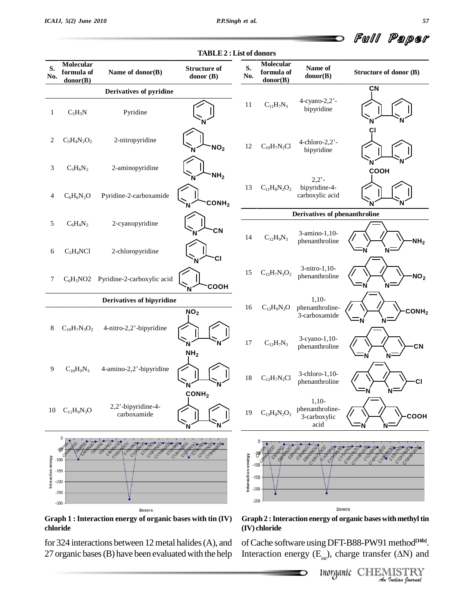

| S.<br>No.          | Molecular<br>formula of<br>donor(B)            | Name of donor(B)                                             | <b>Structure of</b><br>donor $(B)$ | S.<br>No.          | Molecular<br>formula of<br>donor(B)     | Name of<br>donor(B)                                | Structure of donor (B)                                        |
|--------------------|------------------------------------------------|--------------------------------------------------------------|------------------------------------|--------------------|-----------------------------------------|----------------------------------------------------|---------------------------------------------------------------|
|                    |                                                | Derivatives of pyridine                                      |                                    |                    |                                         |                                                    | ÇN                                                            |
| 1                  | $C_5H_5N$                                      | Pyridine                                                     |                                    | 11                 | $C_{11}H_7N_3$                          | 4-cyano-2,2'-<br>bipyridine                        |                                                               |
| 2                  | $C_5H_4N_2O_2$                                 | 2-nitropyridine                                              | NO <sub>2</sub>                    | 12                 | $C_{10}H_7N_2Cl$                        | $4$ -chloro-2,2 $^{\circ}$ -<br>bipyridine         | СI                                                            |
| 3                  | $C_5H_6N_2$                                    | 2-aminopyridine                                              | NH <sub>2</sub>                    |                    |                                         | $2,2'$ -                                           | <b>COOH</b>                                                   |
| 4                  | $C_6H_6N_2O$                                   | Pyridine-2-carboxamide                                       | CONH <sub>2</sub>                  | 13                 | $C_{11}H_8N_2O_2$                       | bipyridine-4-<br>carboxylic acid                   |                                                               |
|                    |                                                |                                                              |                                    |                    |                                         | Derivatives of phenanthroline                      |                                                               |
| 5                  | $C_6H_4N_2$                                    | 2-cyanopyridine                                              | CN                                 | 14                 | $C_{12}H_9N_3$                          | 3-amino-1,10-<br>phenanthroline                    | $-MH2$                                                        |
| 6                  | $C_5H_4NCl$                                    | 2-chloropyridine                                             | CI                                 |                    |                                         |                                                    | N                                                             |
| 7                  |                                                | C <sub>6</sub> H <sub>5</sub> NO2 Pyridine-2-carboxylic acid | COOH<br>N                          | 15                 | $C_{12}H_7N_3O_2$                       | 3-nitro-1,10-<br>phenanthroline                    | NO <sub>2</sub>                                               |
|                    |                                                | Derivatives of bipyridine                                    |                                    |                    |                                         | $1,10-$                                            |                                                               |
| 8                  | $C_{10}H_7N_3O_2$                              | 4-nitro-2,2'-bipyridine                                      | NO <sub>2</sub>                    | 16                 | $C_{13}H_9N_3O$                         | phenanthroline-<br>3-carboxamide                   | COMH <sub>2</sub><br>-N                                       |
|                    |                                                |                                                              | N<br>NH <sub>2</sub>               | $17\,$             | $C_{13}H_7N_3$                          | 3-cyano-1,10-<br>phenanthroline                    | CN                                                            |
| 9                  | $C_{10}H_9N_3$                                 | 4-amino-2,2'-bipyridine                                      | N                                  | 18                 | $C_{12}H_7N_2Cl$                        | 3-chloro-1,10-<br>phenanthroline                   | CI                                                            |
|                    | 10 $C_{11}H_9N_3O$                             | 2,2'-bipyridine-4-<br>carboxamide                            | COMH <sub>2</sub>                  | 19                 | $C_{13}H_8N_2O_2$                       | $1,10-$<br>phenanthroline-<br>3-carboxylic<br>acid | соон                                                          |
| Interaction energy | $-100$<br>$-150$<br>$-200$<br>$-250$<br>$-300$ | CION                                                         |                                    | Interaction energy | -59<br>-100<br>-150<br>$-200$<br>$-250$ |                                                    | Croth                                                         |
|                    |                                                | Donors                                                       |                                    |                    |                                         |                                                    | Donors                                                        |
|                    |                                                | Graph 1 : Interaction energy of organic bases with tin (IV)  |                                    |                    |                                         |                                                    | Graph 2 : Interaction energy of organic bases with methyl tin |

**TABLE2 :List of donors**

**Graph 1 :Interaction energy of organic bases with tin (IV) chloride**

for 324 interactions between 12 metal halides (A), and 27 organic bases (B) have been evaluated with the help **(IV) chloride**

*i*th methyl tin<br>method<sup>[16b]</sup><br>*Γ* (ΔN) and<br><u>IISTRY</u><br>*Judian Journal* ofCache software usingDFT-B88-PW91method **[16b]**. (IV) chloride<br>of Cache software using DFT-B88-PW91 method<sup>[16b]</sup>.<br>Interaction energy (E<sub>in</sub>), charge transfer (AN) and

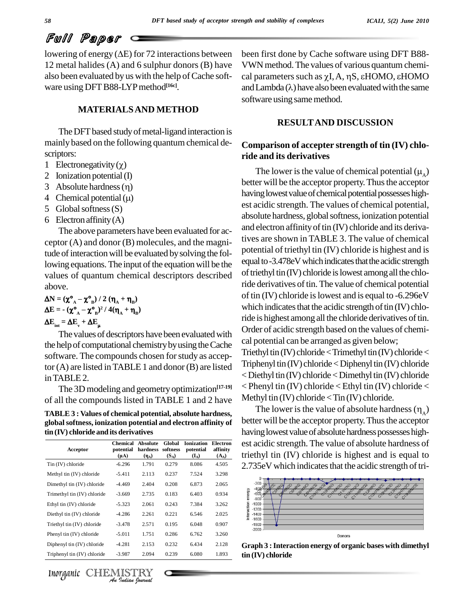lowering of energy  $(\Delta E)$  for 72 interactions between 12 metal halides (A) and 6 sulphur donors (B) have also been evaluated by us with the help of Cache software using DFTB88-LYPmethod **[16c]**.

#### **MATERIALSAND METHOD**

The DFT based study of metal-ligand interaction is mainly based on the following quantum chemical de-<br>scriptors:<br>1 Electronegativity ( $\chi$ ) scriptors:

- 
- 2 Ionization potential(I) 1 Electronegativity ( $\chi$ )<br>2 Ionization potential (I)<br>3 Absolute hardness ( $\eta$ )
- 
- 4 Chemical potential  $(\mu)$
- 5 Globalsoftness(S)
- 6 Electron affinity  $(A)$

The above parameters have been evaluated for acceptor (A) and donor (B) molecules, and the magnitude of interaction will be evaluated by solving the following equations. The input of the equation will be the values of quantum chemical descriptors described of trieth<br>above. <br> $\Delta N = (\chi^o_A - \chi^o_B)/2 (\eta_A + \eta_B)$  of tin ( above.

αυυνε.  
\nΔN = 
$$
(\chi^o_{A} - \chi^o_{B}) / 2 (\eta_{A} + \eta_{B})
$$
  
\nΔE =  $-(\chi^o_{A} - \chi^o_{B})^2 / 4(\eta_{A} + \eta_{B})$   
\nΔE<sub>int</sub> = ΔE<sub>v</sub> + ΔE<sub>μ</sub>

The values of descriptors have been evaluated with the help of computational chemistry by using the Cache software. The compounds chosen for study as acceptor (A) are listed inTABLE1 and donor (B) are listed inTABLE2.

The 3D modeling and geometry optimization<sup>[17-19]</sup> < **l** of all the compounds listed in TABLE 1 and 2 have

**TABLE 3 : Values of chemical potential, absolute hardness, globalsoftness, ionization potential and electron affinity of tin (IV) chloride and its derivatives**

| Acceptor                    | <b>Chemical</b><br>potential<br>$(\mu A)$ | <b>Absolute</b><br>hardness<br>$(\eta_A)$ | Global<br>softness<br>$(S_A)$ | <b>Ionization</b><br>potential<br>$(I_A)$ | <b>Electron</b><br>affinity<br>$(A_A)$ |
|-----------------------------|-------------------------------------------|-------------------------------------------|-------------------------------|-------------------------------------------|----------------------------------------|
| $T$ in $(IV)$ chloride      | $-6.296$                                  | 1.791                                     | 0.279                         | 8.086                                     | 4.505                                  |
| Methyl tin (IV) chloride    | $-5.411$                                  | 2.113                                     | 0.237                         | 7.524                                     | 3.298                                  |
| Dimethyl tin (IV) chloride  | $-4.469$                                  | 2.404                                     | 0.208                         | 6.873                                     | 2.065                                  |
| Trimethyl tin (IV) chloride | $-3.669$                                  | 2.735                                     | 0.183                         | 6.403                                     | 0.934                                  |
| Ethyl tin (IV) chloride     | $-5.323$                                  | 2.061                                     | 0.243                         | 7.384                                     | 3.262                                  |
| Diethyl tin (IV) chloride   | $-4.286$                                  | 2.261                                     | 0.221                         | 6.546                                     | 2.025                                  |
| Triethyl tin (IV) chloride  | $-3.478$                                  | 2.571                                     | 0.195                         | 6.048                                     | 0.907                                  |
| Phenyl tin (IV) chloride    | $-5.011$                                  | 1.751                                     | 0.286                         | 6.762                                     | 3.260                                  |
| Diphenyl tin (IV) chloride  | $-4.281$                                  | 2.153                                     | 0.232                         | 6.434                                     | 2.128                                  |
| Triphenyl tin (IV) chloride | $-3.987$                                  | 2.094                                     | 0.239                         | 6.080                                     | 1.893                                  |



been first done by Cache software using DFT B88- VWNmethod.The values of various quantum chemi been first done by Cache software using DFT B88-<br>VWN method. The values of various quantum chemi-<br>cal parameters such as  $\chi$ I, A, ηS, εHOMO, εHOMO VWN method. The values of various quantum chemical parameters such as  $\chi$ I, A,  $\eta$ S,  $\varepsilon$ HOMO,  $\varepsilon$ HOMO<br>and Lambda ( $\lambda$ ) have also been evaluated with the same software using same method.

#### **RESULTAND DISCUSSION**

### **Comparison of accepter strength of tin (IV) chlo ride and its derivatives** mparison or accepter strength of un (IV) chlo-<br>) and its derivatives<br>The lower is the value of chemical potential ( $\mu_{_{\rm A}}$ )

better will be the acceptor property. Thus the acceptor having lowest value of chemical potential possesses highest acidic strength. The values of chemical potential, absolute hardness, global softness, ionization potential and electron affinity of tin (IV) chloride and its derivatives are shown in TABLE 3. The value of chemical potential of triethyl tin (IV) chloride is highest and is equal to -3.478eV which indicates that the acidic strength of triethyl tin $(IV)$  chloride is lowest among all the chloride derivatives of tin. The value of chemical potential of tin (IV) chloride is lowest and is equal to -6.296eV which indicates that the acidic strength of  $\text{tin (IV)}$  chloride is highest among all the chloride derivatives of tin. Order of acidic strength based on the values of chemi cal potential can be arranged as given below; Triethyl tin  $(IV)$  chloride < Trimethyl tin  $(IV)$  chloride <  $Triphenyl t$ in  $(IV)$  chloride  $<$  Diphenyl tin  $(IV)$  chloride  $\langle$  Diethyl tin (IV) chloride  $\langle$  Dimethyl tin (IV) chloride

 $\le$  Phenyl tin (IV) chloride  $\le$  Ethyl tin (IV) chloride  $\le$ <br>Methyl tin (IV) chloride  $\le$  Tin (IV) chloride.<br>The lower is the value of absolute hardness ( $\eta_A$ ) The lower is the value of absolute hardness  $(\eta_{\lambda})$ better will be the acceptor property. Thus the acceptor having lowest value of absolute hardness possesses highest acidic strength. The value of absolute hardness of **Electron**  $\frac{f(x_0)}{f(x_0)}$  triethyl tin (IV) chloride is highest and is equal to 2.735eV which indicates that the acidic strength of tri-

Methyl tin (IV) chloride < Tin (IV) chloride.



**Graph 3 :Interaction energy of organic bases with dimethyl tin (IV) chloride**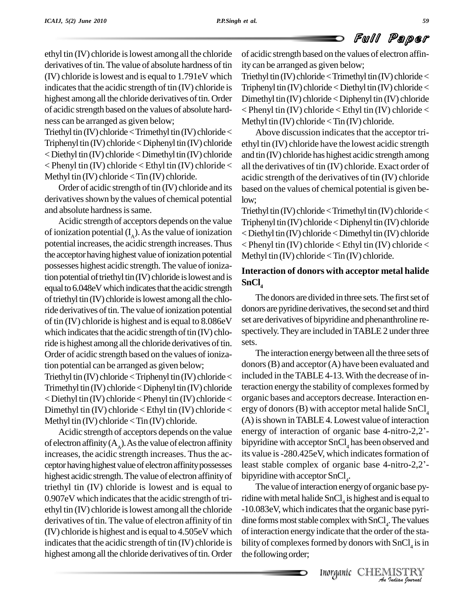ethyl tin (IV) chloride islowest among all the chloride derivatives of tin. The value of absolute hardness of tin (IV) chloride islowest and isequal to 1.791eV which indicates that the acidic strength of  $tin$  (IV) chloride is highest among all the chloride derivatives of tin. Order of acidic strength based on the values of absolute hard ness can be arranged as given below;

Triethyl tin (IV) chloride  $\le$ Trimethyl tin (IV) chloride  $\le$  $Triphenyl \text{ tin } (IV)$  chloride  $\lt$  Diphenyl tin  $(IV)$  chloride  $<$  Diethyl tin (IV) chloride  $<$  Dimethyl tin (IV) chloride < Phenyl tin (IV) chloride < Ethyl tin (IV) chloride < Methyl tin  $(IV)$  chloride  $\langle$  Tin  $(IV)$  chloride.

Order of acidic strength of tin  $(IV)$  chloride and its derivatives shown by the values of chemical potential and absolute hardness is same.

Acidic strength of acceptors depends on the value of ionization potential  $(I_A)$ . As the value of ionization  $\lt$  Dieth potential increases, the acidic strength increases.Thus the acceptor having highest value of ionization potential possesses highest acidic strength. The value of ionization potential of triethyl tin $(IV)$  chloride is lowest and is equal to 6.048eV which indicates that the acidic strength of triethyl tin $(IV)$  chloride is lowest among all the chloride derivatives of tin. The value of ionization potential of tin (IV) chloride is highest and isequal to 8.086eV which indicates that the acidic strength of tin (IV) chloride is highest among all the chloride derivatives of tin. sets. Order of acidic strength based on the values of ionization potential can be arranged as given below;

Triethyl tin (IV) chloride  $<$ Triphenyl tin (IV) chloride  $<$ Trimethyl tin $(IV)$  chloride < Diphenyl tin $(IV)$  chloride  $\langle$  Diethyl tin (IV) chloride  $\langle$  Phenyl tin (IV) chloride  $\langle$ Dimethyl tin (IV) chloride < Ethyl tin (IV) chloride < Methyl tin  $(IV)$  chloride  $\langle$  Tin  $(IV)$  chloride.

of electron affinity  $(A_A)$ . As the value of electron affinity bipyrid increases, the acidic strength increases. Thus the acceptor having highest value of electron affinity possesses least stable complex of organic base 4-nitro-2,2'highest acidic strength.The value of electron affinityof triethyl tin (IV) chloride is lowest and is equal to 0.907eV which indicates that the acidic strength of triethyl tin (IV) chloride islowest among all the chloride derivatives of tin. The value of electron affinity of tin (IV) chloride is highest and isequal to 4.505eV which indicates that the acidic strength of  $tin$  (IV) chloride is highest among all the chloride derivatives of tin. Order

of acidic strength based on the values of electron affinity can be arranged as given below;

Triethyl tin  $(IV)$  chloride < Trimethyl tin  $(IV)$  chloride < Triphenyl tin  $(IV)$  chloride < Diethyl tin  $(IV)$  chloride < Dimethyl tin  $(IV)$  chloride  $\langle$  Diphenyl tin  $(IV)$  chloride < Phenyl tin (IV) chloride < Ethyl tin (IV) chloride < Methyl tin  $(IV)$  chloride  $\langle$  Tin  $(IV)$  chloride.

Above discussion indicates that the acceptor triethyl tin (IV) chloride have the lowest acidic strength and tin (IV) chloride has highest acidic strength among all the derivatives of tin (IV) chloride. Exact order of acidic strength of the derivatives of tin (IV) chloride based on the values of chemical potential is given below;

Triethyl tin (IV) chloride  $\le$ Trimethyl tin (IV) chloride  $\le$ Triphenyl tin  $(IV)$  chloride  $\leq$  Diphenyl tin  $(IV)$  chloride <Diethyl tin (IV) chloride<Dimethyltin (IV) chloride < Phenyl tin (IV) chloride < Ethyl tin (IV) chloride < Methyl tin  $(IV)$  chloride  $\leq$  Tin  $(IV)$  chloride.

#### **Interaction of donors with acceptor metal halide SnCl<sup>4</sup>**

The donors are divided in three sets. The first set of donors are pyridine derivatives, the second set and third set are derivatives of bipyridine and phenanthroline re spectively. They are included in TABLE 2 under three

Acidic strength of acceptors depends on the value energy of interaction of organic base 4-nitro-2,2'-The interaction energy between all the three sets of donors(B) and acceptor (A) have been evaluated and included in theTABLE 4-13.With the decrease of interaction energythe stability of complexesformed by organic bases and acceptors decrease. Interaction en ergy of donors (B) with acceptor metal halide SnCl<sub>4</sub><br>(A) is shown in TABLE 4. Lowest value of interaction<br>energy of interaction of organic base 4-nitro-2,2<sup>'</sup>- $(A)$  is shown in TABLE 4. Lowest value of interaction bipyridine with acceptor SnCl<sub>4</sub> has been observed and<br>its value is -280.425eV, which indicates formation of<br>least stable complex of organic base 4-nitro-2,2<sup>2</sup>its value is -280.425eV, which indicates formation of bipyridine with acceptor  $SnCl<sub>4</sub>$ .

complex with SnCl<sub>4</sub>. The values<br>ndicate that the order of the sta-<br>rmed by donors with SnCl<sub>4</sub> is in<br>Inorganic CHEMISTRY <sup>-10.083eV, which indicates that the organic base pyri-</sup> The value of interaction energy of organic base pyridine with metal halide  $SnCl<sub>4</sub>$  is highest and is equal to dine forms most stable complex with  $SnCl<sub>4</sub>$ . The values of interaction energy indicate that the order of the stability of complexes formed by donors with  $SnCl<sub>4</sub>$  is in the following order;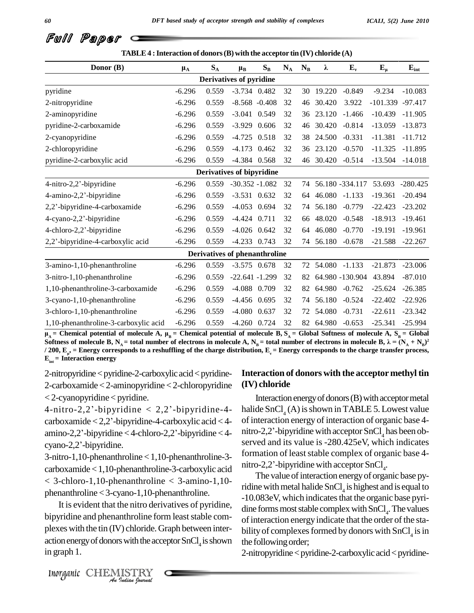| TABLE 4 : Interaction of donors (B) with the acceptor tin $(IV)$ chloride $(A)$ |          |                         |                                      |                           |                         |       |                  |                  |                  |            |
|---------------------------------------------------------------------------------|----------|-------------------------|--------------------------------------|---------------------------|-------------------------|-------|------------------|------------------|------------------|------------|
| Donor (B)                                                                       | $\mu_A$  | $\mathbf{S}_\mathrm{A}$ | $\mu_B$                              | $\mathbf{S}_{\mathbf{B}}$ | $\mathbf{N}_\mathrm{A}$ | $N_B$ | λ                | $E_v$            | ${\bf E}_{\mu}$  | $E_{int}$  |
|                                                                                 |          |                         | Derivatives of pyridine              |                           |                         |       |                  |                  |                  |            |
| pyridine                                                                        | $-6.296$ | 0.559                   | $-3.734$ 0.482                       |                           | 32                      |       | 30 19.220        | $-0.849$         | $-9.234$         | $-10.083$  |
| 2-nitropyridine                                                                 | $-6.296$ | 0.559                   | $-8.568 - 0.408$                     |                           | 32                      | 46    | 30.420           | 3.922            | -101.339 -97.417 |            |
| 2-aminopyridine                                                                 | $-6.296$ | 0.559                   | $-3.041$ 0.549                       |                           | 32                      | 36    | 23.120           | $-1.466$         | $-10.439$        | $-11.905$  |
| pyridine-2-carboxamide                                                          | $-6.296$ | 0.559                   | $-3.929$                             | 0.606                     | 32                      | 46    | 30.420           | $-0.814$         | $-13.059$        | $-13.873$  |
| 2-cyanopyridine                                                                 | $-6.296$ | 0.559                   | $-4.725$ 0.518                       |                           | 32                      | 38    | 24.500           | $-0.331$         | $-11.381$        | $-11.712$  |
| 2-chloropyridine                                                                | $-6.296$ | 0.559                   | $-4.173$ 0.462                       |                           | 32                      |       | 36 23.120        | $-0.570$         | $-11.325$        | $-11.895$  |
| pyridine-2-carboxylic acid                                                      | $-6.296$ | 0.559                   | $-4.384$ 0.568                       |                           | 32                      | 46    | 30.420           | $-0.514$         | $-13.504$        | $-14.018$  |
|                                                                                 |          |                         | Derivatives of bipyridine            |                           |                         |       |                  |                  |                  |            |
| 4-nitro-2,2'-bipyridine                                                         | $-6.296$ | 0.559                   | $-30.352 - 1.082$                    |                           | 32                      | 74    |                  | 56.180 - 334.117 | 53.693           | $-280.425$ |
| 4-amino-2,2'-bipyridine                                                         | $-6.296$ | 0.559                   | $-3.531$ 0.632                       |                           | 32                      | 64    | $46.080 - 1.133$ |                  | $-19.361$        | $-20.494$  |
| 2,2'-bipyridine-4-carboxamide                                                   | $-6.296$ | 0.559                   | $-4.053$ 0.694                       |                           | 32                      | 74    | 56.180           | $-0.779$         | $-22.423$        | $-23.202$  |
| 4-cyano-2,2'-bipyridine                                                         | $-6.296$ | 0.559                   | $-4.424$ 0.711                       |                           | 32                      | 66    | 48.020           | $-0.548$         | $-18.913$        | $-19.461$  |
| 4-chloro-2,2'-bipyridine                                                        | $-6.296$ | 0.559                   | $-4.026$ 0.642                       |                           | 32                      | 64    | 46.080           | $-0.770$         | $-19.191$        | $-19.961$  |
| 2,2'-bipyridine-4-carboxylic acid                                               | $-6.296$ | 0.559                   | $-4.233$ 0.743                       |                           | 32                      | 74    | 56.180           | $-0.678$         | $-21.588$        | $-22.267$  |
|                                                                                 |          |                         | <b>Derivatives of phenanthroline</b> |                           |                         |       |                  |                  |                  |            |
| 3-amino-1,10-phenanthroline                                                     | $-6.296$ | 0.559                   | $-3.575$ 0.678                       |                           | 32                      | 72    | 54.080 -1.133    |                  | $-21.873$        | $-23.006$  |
| 3-nitro-1,10-phenanthroline                                                     | $-6.296$ | 0.559                   | $-22.641 - 1.299$                    |                           | 32                      | 82    |                  | 64.980 -130.904  | 43.894           | $-87.010$  |
| 1,10-phenanthroline-3-carboxamide                                               | $-6.296$ | 0.559                   | $-4.088$ 0.709                       |                           | 32                      | 82    | 64.980           | $-0.762$         | $-25.624$        | $-26.385$  |
| 3-cyano-1,10-phenanthroline                                                     | $-6.296$ | 0.559                   | $-4.456$ 0.695                       |                           | 32                      | 74    | 56.180           | $-0.524$         | $-22.402$        | $-22.926$  |
| 3-chloro-1,10-phenanthroline                                                    | $-6.296$ | 0.559                   | $-4.080$ $0.637$                     |                           | 32                      | 72    | 54.080           | $-0.731$         | $-22.611$        | $-23.342$  |
| 1,10-phenanthroline-3-carboxylic acid                                           | $-6.296$ | 0.559                   | $-4.260$ 0.724                       |                           | 32                      |       | 82 64.980        | $-0.653$         | $-25.341$        | $-25.994$  |

 $\mu_A$  = Chemical potential of molecule A,  $\mu_R$  = Chemical potential of molecule B, S<sub>A</sub> = Global Softness of molecule A, S<sub>R</sub> = Global 1,10-phenanthroline-3-carboxylic acid -6.296 0.559 -4.260 0.724 32 82 64.980 -0.653 -25.341 -25.994<br>  $\mu_A$  = Chemical potential of molecule A,  $\mu_B$  = Chemical potential of molecule B,  $S_A$  = Global Softness of molecule A Soluties of molecule **B**,  $N_A$  = total number of electrons in molecule A,  $N_B$  = total number of electrons in molecule **B**,  $\lambda = (N_A + N_B)^2$ <br>/ 200,  $E_{\mu}$ , = Energy corresponds to a reshuffling of the charge distribution,

2-nitropyridine<pyridine-2-carboxylic acid<pyridine-2-carboxamide <2-aminopyridine < 2-chloropyridine  $<$  2-cyanopyridine  $<$  pyridine. 2-carboxamide < 2-aminopyridine < 2-chloropyridine = (IV<br>< 2-cyanopyridine < pyridine.<br>4-nitro-2,2'-bipyridine < 2,2'-bipyridine-4- = hali

carboxamide <sup>&</sup>lt; 2,2í-bipyridine-4-carboxylic acid <sup>&</sup>lt; 4  $amino-2,2'-bipyridine < 4-chloro-2,2'-bipyridine < 4-cyano-2,2'-bipyridine.$ 

3-nitro-1,10-phenanthroline <1,10-phenanthroline-3 carboxamide<1,10-phenanthroline-3-carboxylic acid  $<$  3-chloro-1,10-phenanthroline  $<$  3-amino-1,10phenanthroline <3-cyano-1,10-phenanthroline.

bipyridine and phenanthroline form least stable com-*Inthroline for*<br>*I*) chloride. G<br>*I*<br>*Indian fourwal* It is evident that the nitro derivatives of pyridine, plexes with the tin (IV) chloride.Graph between inter action energy of donors with the acceptor  $SnCl<sub>4</sub>$  is shown the following in graph 1.

#### **Interaction of donors with the acceptor methyl tin (IV) chloride**

carboxamide < 2,2'-bipyridine-4-carboxylic acid < 4-<br>of interaction energy of interaction of organic base 4-<br>amino-2,2'-bipyridine < 4-chloro-2,2'-bipyridine  $\times$  4-<br>nitro-2,2'-bipyridine with acceptor SnCl, has been ob-Interaction energy of donors (B) with acceptor metal halide  $SnCl<sub>4</sub>(A)$  is shown in TABLE 5. Lowest value of interaction energy of interaction of organic base 4 halide SnCl<sub>4</sub> (A) is shown in TABLE 5. Lowest value<br>of interaction energy of interaction of organic base 4-<br>nitro-2,2<sup>2</sup>-bipyridine with acceptor SnCl<sub>4</sub> has been ob-<br>served and its value is -280.425eV, which indicates formation of least stable complex of organic base 4served and its value is -280.425eV, which indicates nitro-2,2'-bipyridine with acceptor  $SnCl<sub>4</sub>$ .

> The value of interaction energy of organic base pyridine with metal halide  $SnCl<sub>4</sub>$  is highest and is equal to -10.083eV, which indicates that the organic base pyridine forms most stable complex with  $SnCl<sub>4</sub>$ . The values of interaction energy indicate that the order of the stability of complexes formed by donors with  $SnCl<sub>4</sub>$  is in the following order;

2-nitropyridine < pyridine-2-carboxylic acid < pyridine-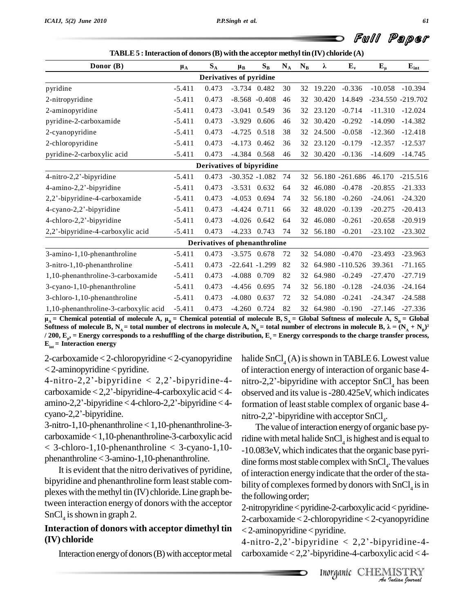| Donor (B)                             | $\mu_A$  | $S_A$ | $\mu_B$                       | $S_B$ | $N_A$ | $N_B$ | λ         | $E_v$              | $E_{\mu}$         | ${\bf E_{int}}$ |
|---------------------------------------|----------|-------|-------------------------------|-------|-------|-------|-----------|--------------------|-------------------|-----------------|
|                                       |          |       | Derivatives of pyridine       |       |       |       |           |                    |                   |                 |
| pyridine                              | $-5.411$ | 0.473 | $-3.734$ 0.482                |       | 30    | 32    | 19.220    | $-0.336$           | $-10.058$         | $-10.394$       |
| 2-nitropyridine                       | $-5.411$ | 0.473 | $-8.568 - 0.408$              |       | 46    | 32    | 30.420    | 14.849             | -234.550 -219.702 |                 |
| 2-aminopyridine                       | $-5.411$ | 0.473 | $-3.041$ 0.549                |       | 36    |       | 32 23.120 | $-0.714$           | $-11.310$         | $-12.024$       |
| pyridine-2-carboxamide                | $-5.411$ | 0.473 | $-3.929$                      | 0.606 | 46    | 32    | 30.420    | $-0.292$           | $-14.090$         | $-14.382$       |
| 2-cyanopyridine                       | $-5.411$ | 0.473 | $-4.725$ 0.518                |       | 38    |       | 32 24.500 | $-0.058$           | $-12.360$         | $-12.418$       |
| 2-chloropyridine                      | $-5.411$ | 0.473 | $-4.173$                      | 0.462 | 36    |       | 32 23.120 | $-0.179$           | $-12.357$         | $-12.537$       |
| pyridine-2-carboxylic acid            | $-5.411$ | 0.473 | $-4.384$ 0.568                |       | 46    |       |           | 32 30.420 -0.136   | $-14.609$         | $-14.745$       |
|                                       |          |       | Derivatives of bipyridine     |       |       |       |           |                    |                   |                 |
| 4-nitro-2,2'-bipyridine               | $-5.411$ | 0.473 | $-30.352 - 1.082$             |       | 74    |       |           | 32 56.180 -261.686 | 46.170            | $-215.516$      |
| 4-amino-2,2'-bipyridine               | $-5.411$ | 0.473 | $-3.531$ 0.632                |       | 64    | 32    | 46.080    | $-0.478$           | $-20.855$         | $-21.333$       |
| 2,2'-bipyridine-4-carboxamide         | $-5.411$ | 0.473 | $-4.053$ 0.694                |       | 74    | 32    | 56.180    | $-0.260$           | $-24.061$         | $-24.320$       |
| 4-cyano-2,2'-bipyridine               | $-5.411$ | 0.473 | $-4.424$ 0.711                |       | 66    | 32    | 48.020    | $-0.139$           | $-20.275$         | $-20.413$       |
| 4-chloro-2,2'-bipyridine              | $-5.411$ | 0.473 | $-4.026$ 0.642                |       | 64    | 32    | 46.080    | $-0.261$           | $-20.658$         | $-20.919$       |
| 2,2'-bipyridine-4-carboxylic acid     | $-5.411$ | 0.473 | $-4.233$ 0.743                |       | 74    | 32    | 56.180    | $-0.201$           | $-23.102$         | $-23.302$       |
|                                       |          |       | Derivatives of phenanthroline |       |       |       |           |                    |                   |                 |
| 3-amino-1,10-phenanthroline           | $-5.411$ | 0.473 | $-3.575$ 0.678                |       | 72    |       | 32 54.080 | $-0.470$           | $-23.493$         | $-23.963$       |
| 3-nitro-1,10-phenanthroline           | $-5.411$ | 0.473 | $-22.641 - 1.299$             |       | 82    | 32    |           | 64.980 -110.526    | 39.361            | $-71.165$       |
| 1,10-phenanthroline-3-carboxamide     | $-5.411$ | 0.473 | $-4.088$ 0.709                |       | 82    | 32    | 64.980    | $-0.249$           | $-27.470$         | $-27.719$       |
| 3-cyano-1,10-phenanthroline           | $-5.411$ | 0.473 | -4.456                        | 0.695 | 74    | 32    |           | 56.180 -0.128      | $-24.036$         | $-24.164$       |
| 3-chloro-1,10-phenanthroline          | $-5.411$ | 0.473 | $-4.080$                      | 0.637 | 72    | 32    | 54.080    | $-0.241$           | $-24.347$         | $-24.588$       |
| 1,10-phenanthroline-3-carboxylic acid | $-5.411$ | 0.473 | $-4.260$ 0.724                |       | 82    |       | 32 64.980 | $-0.190$           | $-27.146$         | $-27.336$       |

1,10-phenanthroline-3-carboxylic acid -5.411 0.473 -4.260 0.724 82 32 64.980 -0.190 -27.146 -27.336<br>  $\mu_A$  = Chemical potential of molecule A,  $\mu_B$  = Chemical potential of molecule B, S<sub>A</sub> = Global Softness of molecule A **) 2** Soluties of molecule B,  $N_A$  – total number of electrons in molecule A,  $N_B$  – total number of electrons in molecule B,  $\lambda = (N_A + N_B)$ <br>/ 200,  $E_{\mu}$ , = Energy corresponds to a reshuffling of the charge distribution,  $E_{\nu}$  $E_{int}$  = Interaction energy

2-carboxamide < 2-chloropyridine < 2-cyanopyridine halide<br>
< 2-aminopyridine < pyridine. of inte<br>
4-nitro-2,2'-bipyridine < 2,2'-bipyridine-4- nitro- $<$  2-aminopyridine  $<$  pyridine.

% < 2-aminopyridine < pyridine. the same of interaction of interaction of interaction of interaction of the same distribution of interaction of the carboxylic acid < 4-carboxylic acid < 4-carboxylic acid < 4-carboxylic aci 4-nitro-2,2'-bipyridine < 2,2'-bipyridine-4-<br>carboxamide < 2,2'-bipyridine-4-carboxylic acid < 4-<br>amino-2,2'-bipyridine < 4-chloro-2,2'-bipyridine < 4-<br>forma carboxamide <  $2,2$ '-bipyridine-4-carboxylic acid < 4-<br>amino-2,2'-bipyridine < 4-chloro-2,2'-bipyridine < 4-<br>cyano-2,2'-bipyridine.

3-nitro-1,10-phenanthroline <1,10-phenanthroline-3 carboxamide<1,10-phenanthroline-3-carboxylic acid  $< 3$ -chloro-1,10-phenanthroline  $< 3$ -cyano-1,10phenanthroline<3-amino-1,10-phenanthroline.

It is evident that the nitro derivatives of pyridine, bipyridine and phenanthroline form least stable complexes with the methyl tin  $(IV)$  chloride. Line graph between interaction energy of donors with the acceptor  $SnCl<sub>4</sub>$  is shown in graph 2.

#### **Interaction of donors with acceptor dimethyl tin (IV) chloride**

halide  $SnCl<sub>4</sub>(A)$  is shown in TABLE 6. Lowest value of interaction energy of interaction of organic base 4 nitro-2,2'-bipyridine with acceptor  $SnCl<sub>4</sub>$  has been observed and its value is -280.425eV, which indicates<br>formation of least stable complex of organic base 4-<br>nitro-2,2<sup>'</sup>-bipyridine with acceptor SnCl<sub>4</sub>. formation of least stable complex of organic base 4nitro-2,2'-bipyridine with acceptor  $SnCl<sub>4</sub>$ .

The value of interaction energy of organic base pyridine with metal halide  $SnCl<sub>4</sub>$  is highest and is equal to -10.083eV, which indicates that the organic base pyridine forms most stable complex with  $SnCl<sub>4</sub>$ . The values of interaction energy indicate that the order of the stability of complexes formed by donors with  $SnCl<sub>4</sub>$  is in the following order;

Ioropyridine < 2-cyanopyridine<br>
yridine < 2,2'-bipyridine-4-<br>
pyridine-4-carboxylic acid < 4-<br>
Inorganic CHEMISTRY 2-carboxamide < 2-chloropyridine < 2-cyanopyridine<br>
< 2-aminopyridine < pyridine.<br>
4-nitro-2,2<sup>'</sup>-bipyridine < 2,2'-bipyridine-4-2-nitropyridine < pyridine-2-carboxylic acid < pyridine- $<$  2-aminopyridine  $<$  pyridine.

Interaction energy of donors (B) with acceptor metal carboxamide < 2,2'-bipyridine-4-carboxylic acid < 4-4-nitro-2,2'-bipyridine  $< 2,2$ '-bipyridine-4-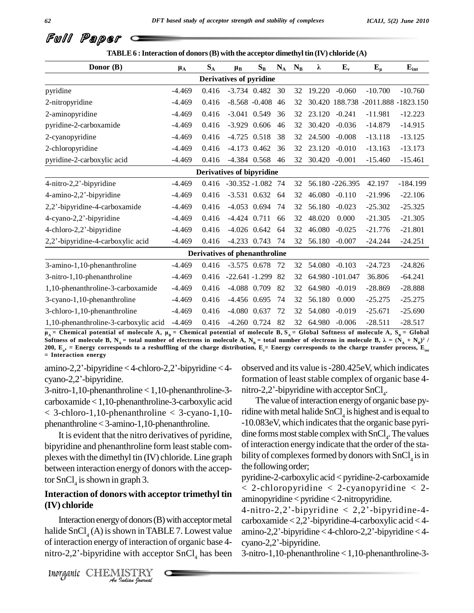| Donor (B)                             | $\mu_A$  | $S_A$ | $\mu_{\rm B}$                  | $S_B$ | $N_A$ | $N_B$ | λ             | $E_v$           | $E_{\mu}$                          | $E_{int}$  |
|---------------------------------------|----------|-------|--------------------------------|-------|-------|-------|---------------|-----------------|------------------------------------|------------|
|                                       |          |       | <b>Derivatives of pyridine</b> |       |       |       |               |                 |                                    |            |
| pyridine                              | $-4.469$ | 0.416 | $-3.734$ 0.482 30              |       |       | 32    | 19.220        | $-0.060$        | $-10.700$                          | $-10.760$  |
| 2-nitropyridine                       | $-4.469$ | 0.416 | $-8.568 - 0.408$ 46            |       |       | 32    |               |                 | 30.420 188.738 -2011.888 -1823.150 |            |
| 2-aminopyridine                       | $-4.469$ | 0.416 | $-3.041$ 0.549                 |       | 36    | 32    | 23.120 -0.241 |                 | $-11.981$                          | $-12.223$  |
| pyridine-2-carboxamide                | $-4.469$ | 0.416 | $-3.929$ 0.606                 |       | 46    | 32    | 30.420        | $-0.036$        | $-14.879$                          | $-14.915$  |
| 2-cyanopyridine                       | $-4.469$ | 0.416 | $-4.725$ 0.518                 |       | 38    | 32    | 24.500        | $-0.008$        | $-13.118$                          | $-13.125$  |
| 2-chloropyridine                      | $-4.469$ | 0.416 | $-4.173$ 0.462                 |       | 36    | 32    | 23.120        | $-0.010$        | $-13.163$                          | $-13.173$  |
| pyridine-2-carboxylic acid            | $-4.469$ | 0.416 | $-4.384$ 0.568 46              |       |       |       | 32 30.420     | $-0.001$        | $-15.460$                          | $-15.461$  |
|                                       |          |       | Derivatives of bipyridine      |       |       |       |               |                 |                                    |            |
| 4-nitro-2,2'-bipyridine               | $-4.469$ |       | $0.416 -30.352 -1.082$ 74      |       |       | 32    |               | 56.180 -226.395 | 42.197                             | $-184.199$ |
| 4-amino-2,2'-bipyridine               | -4.469   | 0.416 | $-3.531$ 0.632 64              |       |       | 32    | 46.080 -0.110 |                 | $-21.996$                          | $-22.106$  |
| 2,2'-bipyridine-4-carboxamide         | $-4.469$ | 0.416 | -4.053 0.694 74                |       |       | 32    | 56.180        | $-0.023$        | $-25.302$                          | $-25.325$  |
| 4-cyano-2,2'-bipyridine               | $-4.469$ | 0.416 | $-4.424$ 0.711                 |       | 66    | 32    | 48.020        | 0.000           | $-21.305$                          | $-21.305$  |
| 4-chloro-2,2'-bipyridine              | $-4.469$ | 0.416 | $-4.026$ 0.642 64              |       |       | 32    | 46.080        | $-0.025$        | $-21.776$                          | $-21.801$  |
| 2,2'-bipyridine-4-carboxylic acid     | $-4.469$ | 0.416 | -4.233 0.743 74                |       |       | 32    | 56.180        | $-0.007$        | $-24.244$                          | $-24.251$  |
|                                       |          |       | Derivatives of phenanthroline  |       |       |       |               |                 |                                    |            |
| 3-amino-1,10-phenanthroline           | $-4.469$ | 0.416 | $-3.575$ 0.678 72              |       |       | 32    | 54.080 -0.103 |                 | $-24.723$                          | $-24.826$  |
| 3-nitro-1,10-phenanthroline           | $-4.469$ | 0.416 | $-22.641 - 1.299$ 82           |       |       | 32    |               | 64.980 -101.047 | 36.806                             | $-64.241$  |
| 1,10-phenanthroline-3-carboxamide     | $-4.469$ | 0.416 | $-4.088$ 0.709                 |       | 82    | 32    | 64.980        | $-0.019$        | $-28.869$                          | $-28.888$  |
| 3-cyano-1,10-phenanthroline           | -4.469   | 0.416 | $-4.456$ 0.695                 |       | 74    | 32    | 56.180        | 0.000           | $-25.275$                          | $-25.275$  |
| 3-chloro-1,10-phenanthroline          | $-4.469$ | 0.416 | $-4.080$ 0.637                 |       | 72    | 32    | 54.080        | $-0.019$        | $-25.671$                          | $-25.690$  |
| 1,10-phenanthroline-3-carboxylic acid | $-4.469$ | 0.416 | $-4.260$ 0.724                 |       | 82    | 32    | 64.980        | $-0.006$        | $-28.511$                          | $-28.517$  |

Solutiess of molecule B,  $N_A$  = total number of electrons in molecule A,  $N_B$  = total number of electrons in molecule B,  $\kappa = (N_A + N_B)^2$ <br>200,  $E_{\mu}$ , = Energy corresponds to a reshuffling of the charge distribution,  $E_{\nu$ 1,10-phenanthroline-5-carboxylic acid -4.469 0.416 -4.260 0.724 82 32 64.980 -0.006 -28.511 -28.517<br>  $\mu_A$  = Chemical potential of molecule A,  $\mu_B$  = Chemical potential of molecule B, S<sub>A</sub> = Global Softness of molecule A **) 2 /**  $=$  Interaction energy

amino-2,2'-bipyridine < 4-chloro-2,2'-bipyridine < 4-cyano-2,2'-bipyridine.

3-nitro-1,10-phenanthroline <1,10-phenanthroline-3 carboxamide<1,10-phenanthroline-3-carboxylic acid  $< 3$ -chloro-1,10-phenanthroline  $< 3$ -cyano-1,10phenanthroline<3-amino-1,10-phenanthroline.

It is evident that the nitro derivatives of pyridine, bipyridine and phenanthroline form least stable complexes with the dimethyl tin (IV) chloride. Line graph between interaction energy of donors with the acceptor SnCl<sub>4</sub> is shown in graph 3.

### **Interaction of donors with acceptor trimethyl tin (IV) chloride**

Interaction energy of donors (B) with acceptor metal can *I* of donors (B)<br> *Indian*<br> *I* of interaction<br> *I* with accep<br> *ISTRY*<br> *Indian fourwal* halide SnCl<sub>4</sub>(A) is shown in TABLE 7. Lowest value amino-2,2'-bipyridine of interaction energy of interaction of organic base 4- cyano-2,2'-bipyridine. of interaction energy of interaction of organic base 4 halide  $SnCl<sub>4</sub>(A)$  is shown in TABLE 7. Lowest value amino-<br>of interaction energy of interaction of organic base 4-cyano-<br>nitro-2,2'-bipyridine with acceptor  $SnCl<sub>4</sub>$  has been 3-nitro-

observed and its value is-280.425eV, which indicates formation of least stable complex of organic base 4observed and its value is -280.425eV, which information of least stable complex of organic bnitro-2,2<sup>2</sup>-bipyridine with acceptor SnCl<sub>4</sub>. nitro-2,2'-bipyridine with acceptor  $SnCl<sub>4</sub>$ .

The value of interaction energy of organic base pyridine with metal halide  $SnCl<sub>4</sub>$  is highest and is equal to -10.083eV, which indicates that the organic base pyridine forms most stable complex with  $SnCl<sub>4</sub>$ . The values of interaction energy indicate that the order of the stability of complexes formed by donors with  $SnCl<sub>4</sub>$  is in the following order;

pyridine-2-carboxylic acid < pyridine-2-carboxamide < 2-chloropyridine < 2-cyanopyridine < 2  $aminopyridine < pyridine < 2-nitropyridine.$  $<$  2-chloropyridine  $<$  2-cyanopyridine  $<$  2-aminopyridine-spyridine-2.-nitropyridine.<br>4-nitro-2,2'-bipyridine  $<$  2,2'-bipyridine-4-

aminopyridine < pyridine < 2-nitropyridine.<br>4-nitro-2,2'-bipyridine < 2,2'-bipyridine-4-<br>carboxamide < 2,2'-bipyridine-4-carboxylic acid < 4-4-nitro-2,2'-bipyridine < 2,2'-bipyridine-4-<br>carboxamide < 2,2'-bipyridine-4-carboxylic acid < 4-<br>amino-2,2'-bipyridine < 4-chloro-2,2'-bipyridine < 4carboxamide <  $2,2$ '-bipyridine-4-carboxylic acid < 4-<br>amino-2,2'-bipyridine < 4-chloro-2,2'-bipyridine < 4-

3-nitro-1,10-phenanthroline <1,10-phenanthroline-3-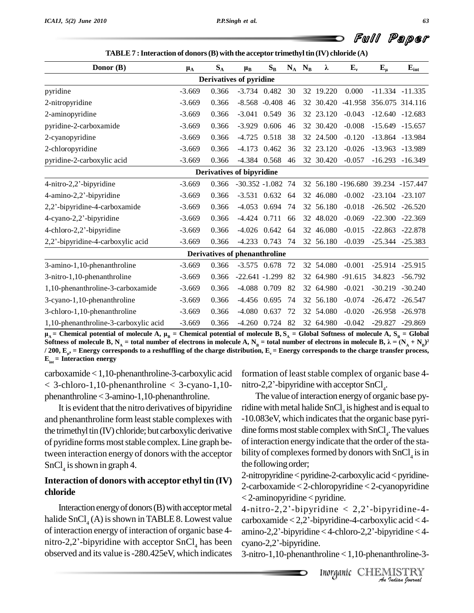| Donor (B)                             | $\mu_{\rm A}$ | $S_A$ | $\mu_{B}$                     | $S_B$               |     | $N_A$ $N_B$ | λ         | $E_v$                              | ${\bf E}_{\mu}$ | $E_{int}$           |
|---------------------------------------|---------------|-------|-------------------------------|---------------------|-----|-------------|-----------|------------------------------------|-----------------|---------------------|
|                                       |               |       | Derivatives of pyridine       |                     |     |             |           |                                    |                 |                     |
| pyridine                              | $-3.669$      | 0.366 |                               | $-3.734$ 0.482      | 30  |             | 32 19.220 | 0.000                              |                 | $-11.334 -11.335$   |
| 2-nitropyridine                       | $-3.669$      | 0.366 |                               | $-8.568 - 0.408$ 46 |     |             | 32 30.420 | $-41.958$                          | 356.075 314.116 |                     |
| 2-aminopyridine                       | $-3.669$      | 0.366 |                               | $-3.041$ 0.549      | 36  |             | 32 23.120 | $-0.043$                           |                 | $-12.640 -12.683$   |
| pyridine-2-carboxamide                | $-3.669$      | 0.366 | $-3.929$ 0.606                |                     | 46  |             | 32 30.420 | $-0.008$                           |                 | $-15.649$ $-15.657$ |
| 2-cyanopyridine                       | $-3.669$      | 0.366 |                               | -4.725 0.518 38     |     |             | 32 24.500 | $-0.120$                           |                 | $-13.864$ $-13.984$ |
| 2-chloropyridine                      | $-3.669$      | 0.366 | $-4.173$ 0.462                |                     | 36  |             | 32 23.120 | $-0.026$                           |                 | $-13.963 -13.989$   |
| pyridine-2-carboxylic acid            | $-3.669$      | 0.366 | $-4.384$ 0.568                |                     | 46  |             | 32 30.420 | $-0.057$                           |                 | $-16.293 - 16.349$  |
|                                       |               |       | Derivatives of bipyridine     |                     |     |             |           |                                    |                 |                     |
| 4-nitro-2,2'-bipyridine               | $-3.669$      | 0.366 | $-30.352 - 1.082$ 74          |                     |     |             |           | 32 56.180 -196.680 39.234 -157.447 |                 |                     |
| 4-amino-2,2'-bipyridine               | $-3.669$      | 0.366 |                               | $-3.531$ 0.632      | 64  |             | 32 46.080 | $-0.002$                           |                 | $-23.104$ $-23.107$ |
| 2,2'-bipyridine-4-carboxamide         | $-3.669$      | 0.366 |                               | $-4.053$ 0.694      | 74  |             | 32 56.180 | $-0.018$                           |                 | $-26.502 -26.520$   |
| 4-cyano-2,2'-bipyridine               | $-3.669$      | 0.366 | $-4.424$ 0.711                |                     | 66  |             | 32 48.020 | $-0.069$                           |                 | $-22.300 -22.369$   |
| 4-chloro-2,2'-bipyridine              | $-3.669$      | 0.366 |                               | $-4.026$ 0.642      | 64  |             | 32 46.080 | $-0.015$                           |                 | $-22.863 -22.878$   |
| 2,2'-bipyridine-4-carboxylic acid     | $-3.669$      | 0.366 |                               | $-4.233$ 0.743 74   |     |             | 32 56.180 | $-0.039$                           |                 | $-25.344$ $-25.383$ |
|                                       |               |       | Derivatives of phenanthroline |                     |     |             |           |                                    |                 |                     |
| 3-amino-1,10-phenanthroline           | $-3.669$      | 0.366 |                               | $-3.575$ 0.678 72   |     |             | 32 54.080 | $-0.001$                           |                 | $-25.914$ $-25.915$ |
| 3-nitro-1,10-phenanthroline           | $-3.669$      | 0.366 | $-22.641 - 1.299$             |                     | -82 |             |           | 32 64.980 -91.615                  | 34.823          | $-56.792$           |
| 1,10-phenanthroline-3-carboxamide     | $-3.669$      | 0.366 | $-4.088$ 0.709                |                     | 82  |             | 32 64.980 | $-0.021$                           |                 | $-30.219 - 30.240$  |
| 3-cyano-1,10-phenanthroline           | $-3.669$      | 0.366 | $-4.456$ 0.695                |                     | -74 |             | 32 56.180 | $-0.074$                           |                 | $-26.472 -26.547$   |
| 3-chloro-1,10-phenanthroline          | $-3.669$      | 0.366 | $-4.080$ 0.637                |                     | 72  |             | 32 54.080 | $-0.020$                           |                 | $-26.958 - 26.978$  |
| 1,10-phenanthroline-3-carboxylic acid | $-3.669$      | 0.366 |                               | $-4.260$ 0.724      | 82  |             | 32 64.980 | $-0.042$                           | $-29.827$       | $-29.869$           |

1,10-phenanthroline-3-carboxylic acid -3.669 0.366 -4.260 0.724 82 32 64.980 -0.042 -29.827 -29.869<br>  $\mu_A$  = Chemical potential of molecule A,  $\mu_B$  = Chemical potential of molecule B, S<sub>A</sub> = Global Softness of molecule A **) 2**  $/$  **200,**  $E_{\mu}$ **,** = **En** / 200,  $E_{\mu}$ , = Energy corresponds to a reshuffling of the charge distribution,  $E_{\nu}$  = Energy corresponds to the charge transfer process,<br> $E_{\rm int}$  = Interaction energy

carboxamide<1,10-phenanthroline-3-carboxylic acid  $< 3$ -chloro-1,10-phenanthroline  $< 3$ -cyano-1,10phenanthroline<3-amino-1,10-phenanthroline.

It is evident that the nitro derivatives of bipyridine and phenanthroline form least stable complexes with the trimethyl tin (IV) chloride; but carboxylic derivative of pyridine forms most stable complex. Line graph between interaction energy of donors with the acceptor  $SnCl<sub>4</sub>$  is shown in graph 4.

### **Interaction of donors with acceptor ethyl tin (IV) chloride**

Interaction energy of donors (B) with acceptor metal halide SnCl<sub>4</sub> (A) is shown in TABLE 8. Lowest value carbox<br>of interaction energy of interaction of organic base 4-<br>mitro-2,2'-bipyridine with acceptor SnCl<sub>4</sub> has been cyano-2 of interaction energy of interaction of organic base 4 observed and its value is-280.425eV, which indicates

formation of least stable complex of organic base 4formation of least stable complex of organic b<br>nitro-2,2'-bipyridine with acceptor SnCl<sub>4</sub>. nitro-2,2'-bipyridine with acceptor  $SnCl<sub>4</sub>$ .

The value of interaction energy of organic base pyridine with metal halide  $SnCl<sub>4</sub>$  is highest and is equal to -10.083eV, which indicates that the organic base pyridine forms most stable complex with  $SnCl<sub>4</sub>$ . The values of interaction energy indicate that the order of the stability of complexes formed by donors with  $SnCl<sub>4</sub>$  is in the following order;

2-carboxamide < 2-chloropyridine < 2-cyanopyridine<br>
< 2-aminopyridine < pyridine.<br>
4-nitro-2,2<sup>'</sup>-bipyridine < 2,2'-bipyridine-4-2-nitropyridine < pyridine-2-carboxylic acid < pyridine-2-carboxamide < 2-chloropyridine < 2-cyanopyridine  $<$  2-aminopyridine  $<$  pyridine.

pyridine-4-carboxylic acid < 4-<br>
< 4-chloro-2,2<sup>2</sup>-bipyridine < 4-<br>
roline < 1,10-phenanthroline-3-<br>
Inorganic CHEMISTRY < 2-aminopyridine < pyridine.<br>4-nitro-2,2'-bipyridine < 2,2'-bipyridine-4-<br>carboxamide < 2,2'-bipyridine-4-carboxylic acid < 4-4-nitro-2,2'-bipyridine < 2,2'-bipyridine-4-<br>carboxamide < 2,2'-bipyridine-4-carboxylic acid < 4-<br>amino-2,2'-bipyridine < 4-chloro-2,2'-bipyridine < 4carboxamide < 2,2'-bipyrid<br>amino-2,2'-bipyridine < 4-c<br>cyano-2,2'-bipyridine.

3-nitro-1,10-phenanthroline <1,10-phenanthroline-3-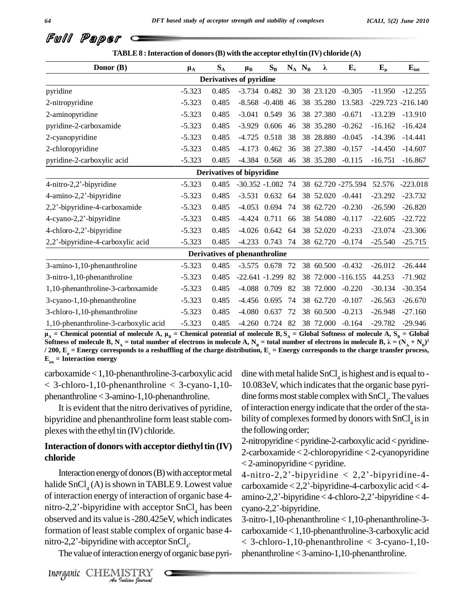| Donor (B)                             | $\mu_A$  | $\mathbf{S}_\mathrm{A}$ | $\mu_B$                              | $S_B$                |    | $N_A$ $N_B$ | λ         | $E_v$              | $E_{\mu}$            | ${\bf E_{int}}$ |
|---------------------------------------|----------|-------------------------|--------------------------------------|----------------------|----|-------------|-----------|--------------------|----------------------|-----------------|
|                                       |          |                         | <b>Derivatives of pyridine</b>       |                      |    |             |           |                    |                      |                 |
| pyridine                              | $-5.323$ | 0.485                   |                                      | $-3.734$ 0.482 30    |    |             | 38 23.120 | $-0.305$           | $-11.950$            | $-12.255$       |
| 2-nitropyridine                       | $-5.323$ | 0.485                   |                                      | $-8.568$ $-0.408$ 46 |    |             | 38 35.280 | 13.583             | $-229.723 - 216.140$ |                 |
| 2-aminopyridine                       | $-5.323$ | 0.485                   | $-3.041$                             | 0.549 36             |    |             | 38 27.380 | $-0.671$           | $-13.239$            | $-13.910$       |
| pyridine-2-carboxamide                | $-5.323$ | 0.485                   | $-3.929$                             | 0.606 46             |    |             | 38 35.280 | $-0.262$           | $-16.162$            | $-16.424$       |
| 2-cyanopyridine                       | $-5.323$ | 0.485                   | $-4.725$                             | 0.518 38             |    |             | 38 28.880 | $-0.045$           | $-14.396$            | $-14.441$       |
| 2-chloropyridine                      | $-5.323$ | 0.485                   | $-4.173$                             | 0.462 36             |    |             | 38 27.380 | $-0.157$           | $-14.450$            | $-14.607$       |
| pyridine-2-carboxylic acid            | $-5.323$ | 0.485                   |                                      | $-4.384$ 0.568       | 46 |             | 38 35.280 | $-0.115$           | $-16.751$            | $-16.867$       |
|                                       |          |                         | Derivatives of bipyridine            |                      |    |             |           |                    |                      |                 |
| $4$ -nitro-2,2'-bipyridine            | $-5.323$ | 0.485                   | $-30.352 - 1.082$ 74                 |                      |    |             |           | 38 62.720 -275.594 | 52.576               | $-223.018$      |
| 4-amino-2,2'-bipyridine               | $-5.323$ | 0.485                   |                                      | $-3.531$ 0.632 64    |    |             | 38 52.020 | $-0.441$           | $-23.292$            | $-23.732$       |
| 2,2'-bipyridine-4-carboxamide         | $-5.323$ | 0.485                   | $-4.053$                             | 0.694 74             |    |             | 38 62.720 | $-0.230$           | $-26.590$            | $-26.820$       |
| 4-cyano-2,2'-bipyridine               | $-5.323$ | 0.485                   | $-4.424$                             | 0.711 66             |    |             | 38 54.080 | $-0.117$           | $-22.605$            | $-22.722$       |
| 4-chloro-2,2'-bipyridine              | $-5.323$ | 0.485                   |                                      | $-4.026$ 0.642 64    |    |             | 38 52.020 | $-0.233$           | $-23.074$            | $-23.306$       |
| 2,2'-bipyridine-4-carboxylic acid     | $-5.323$ | 0.485                   |                                      | $-4.233$ 0.743 74    |    |             | 38 62.720 | $-0.174$           | $-25.540$            | $-25.715$       |
|                                       |          |                         | <b>Derivatives of phenanthroline</b> |                      |    |             |           |                    |                      |                 |
| 3-amino-1,10-phenanthroline           | $-5.323$ | 0.485                   |                                      | $-3.575$ 0.678 72    |    |             | 38 60.500 | $-0.432$           | $-26.012$            | $-26.444$       |
| 3-nitro-1,10-phenanthroline           | $-5.323$ | 0.485                   | $-22.641 - 1.299$ 82                 |                      |    |             |           | 38 72.000 -116.155 | 44.253               | $-71.902$       |
| 1,10-phenanthroline-3-carboxamide     | $-5.323$ | 0.485                   | $-4.088$                             | 0.709                | 82 |             | 38 72.000 | $-0.220$           | $-30.134$            | $-30.354$       |
| 3-cyano-1,10-phenanthroline           | $-5.323$ | 0.485                   |                                      | -4.456 0.695 74      |    |             | 38 62.720 | $-0.107$           | $-26.563$            | $-26.670$       |
| 3-chloro-1,10-phenanthroline          | $-5.323$ | 0.485                   | $-4.080$                             | 0.637                | 72 |             | 38 60.500 | $-0.213$           | $-26.948$            | $-27.160$       |
| 1,10-phenanthroline-3-carboxylic acid | $-5.323$ | 0.485                   |                                      | $-4.260$ 0.724 82    |    |             | 38 72.000 | $-0.164$           | $-29.782$            | $-29.946$       |

 $\mu_A$  = Chemical potential of molecule A,  $\mu_R$  = Chemical potential of molecule B, S<sub>A</sub> = Global Softness of molecule A, S<sub>R</sub> = Global 1,10-phenanthroline-3-carboxylic acid -5.323 0.485 -4.260 0.724 82 38 72.000 -0.164 -29.782 -29.946<br>  $\mu_A$  = Chemical potential of molecule A,  $\mu_B$  = Chemical potential of molecule B,  $S_A$  = Global Softness of molecule A Soluties of molecule **b**,  $N_A = \text{total number}$  of electrons in molecule A,  $N_B = \text{total number}$  of electrons in molecule **b**,  $\lambda = (N_A + N_B)^2$ <br>/ 200,  $E_{\mu} =$  Energy corresponds to a reshuffling of the charge distribution,  $E_{\nu} =$  Energy cor

carboxamide<1,10-phenanthroline-3-carboxylic acid  $< 3$ -chloro-1,10-phenanthroline  $< 3$ -cyano-1,10phenanthroline<3-amino-1,10-phenanthroline.

It is evident that the nitro derivatives of pyridine, bipyridine and phenanthroline form least stable complexeswith the ethyl tin (IV) chloride.

#### **Interaction of donors with acceptor diethyltin (IV) chloride**

observed and its value is -280.425eV, which indicates 3-nit *India*<br> *India*<br> *India*<br> *Indian bouwad*<br> *Indian bouwad* Interaction energy of donors (B) with acceptor metal halide SnCl<sub>4</sub> (A) is shown in TABLE 9. Lowest value carbox<br>of interaction energy of interaction of organic base 4-<br>mitro-2,2'-bipyridine with acceptor SnCl<sub>4</sub> has been cyano-2 of interaction energy of interaction of organic base 4 formation of least stable complex of organic base 4- carb observed and its value is -280.425eV, which information of least stable complex of organic b<br>nitro-2,2'-bipyridine with acceptor SnCl<sub>4</sub>. .

The value of interaction energy of organic base pyri-

dine with metal halide  $SnCl<sub>4</sub>$  is highest and is equal to -10.083eV, which indicates that the organic base pyridine forms most stable complex with  $SnCl<sub>4</sub>$ . The values of interaction energy indicate that the order of the stability of complexes formed by donors with  $SnCl<sub>4</sub>$  is in the following order;

2-nitropyridine < pyridine-2-carboxylic acid < pyridine-2-carboxamide < 2-chloropyridine < 2-cyanopyridine 4-nitro-2,2í-bipyridine <sup>&</sup>lt; 2,2í-bipyridine-4-  $<$  2-aminopyridine  $<$  pyridine.

4-nitro-2,2'-bipyridine < 2,2'-bipyridine-4-carboxylic acid < 4-4-nitro-2,2'-bipyridine < 2,2'-bipyridine-4-<br>carboxamide < 2,2'-bipyridine-4-carboxylic acid < 4-<br>amino-2,2'-bipyridine < 4-chloro-2,2'-bipyridine < 4carboxamide < 2,2'-bipyrid<br>amino-2,2'-bipyridine < 4-c<br>cyano-2,2'-bipyridine.

3-nitro-1,10-phenanthroline <1,10-phenanthroline-3 carboxamide<1,10-phenanthroline-3-carboxylic acid < 3-chloro-1,10-phenanthroline < 3-cyano-1,10 phenanthroline<3-amino-1,10-phenanthroline.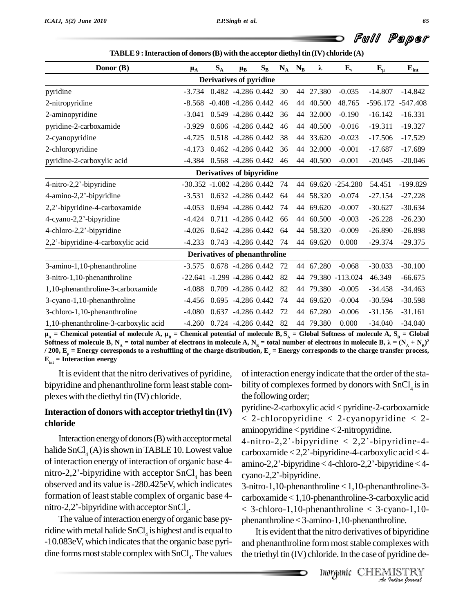| Donor (B)                             | $\mu_A$                           | $\mathbf{S}_\mathrm{A}$ | $\mu_{B}$                        | $S_B$ |    | $N_A$ $N_B$ | λ         | $E_v$              | $E_{\mu}$  | $E_{int}$  |
|---------------------------------------|-----------------------------------|-------------------------|----------------------------------|-------|----|-------------|-----------|--------------------|------------|------------|
|                                       |                                   |                         | Derivatives of pyridine          |       |    |             |           |                    |            |            |
| pyridine                              | $-3.734$                          |                         | 0.482 -4.286 0.442               |       | 30 |             | 44 27.380 | $-0.035$           | $-14.807$  | $-14.842$  |
| 2-nitropyridine                       | $-8.568$                          |                         | $-0.408 - 4.286 0.442$           |       | 46 |             | 44 40.500 | 48.765             | $-596.172$ | -547.408   |
| 2-aminopyridine                       | $-3.041$                          |                         | 0.549 -4.286 0.442               |       | 36 |             | 44 32.000 | $-0.190$           | $-16.142$  | $-16.331$  |
| pyridine-2-carboxamide                | $-3.929$                          |                         | 0.606 -4.286 0.442               |       | 46 |             | 44 40.500 | $-0.016$           | $-19.311$  | $-19.327$  |
| 2-cyanopyridine                       | -4.725                            |                         | 0.518 -4.286 0.442               |       | 38 |             | 44 33.620 | $-0.023$           | $-17.506$  | $-17.529$  |
| 2-chloropyridine                      | $-4.173$                          |                         | 0.462 -4.286 0.442               |       | 36 |             | 44 32.000 | $-0.001$           | $-17.687$  | $-17.689$  |
| pyridine-2-carboxylic acid            | -4.384                            |                         | 0.568 -4.286 0.442               |       | 46 |             | 44 40.500 | $-0.001$           | $-20.045$  | $-20.046$  |
|                                       |                                   |                         | <b>Derivatives of bipyridine</b> |       |    |             |           |                    |            |            |
| 4-nitro-2,2'-bipyridine               | -30.352 -1.082 -4.286 0.442       |                         |                                  |       | 74 |             |           | 44 69.620 -254.280 | 54.451     | $-199.829$ |
| 4-amino-2,2'-bipyridine               | $-3.531$                          |                         | $0.632 -4.286 0.442$             |       | 64 |             | 44 58.320 | $-0.074$           | $-27.154$  | $-27.228$  |
| 2,2'-bipyridine-4-carboxamide         | $-4.053$                          |                         | 0.694 -4.286 0.442               |       | 74 |             | 44 69.620 | $-0.007$           | $-30.627$  | $-30.634$  |
| 4-cyano-2,2'-bipyridine               | $-4.424$                          |                         | $0.711 - 4.286 0.442$            |       | 66 | 44          | 60.500    | $-0.003$           | $-26.228$  | $-26.230$  |
| 4-chloro-2,2'-bipyridine              | $-4.026$                          |                         | $0.642 -4.286 0.442$             |       | 64 |             | 44 58.320 | $-0.009$           | $-26.890$  | $-26.898$  |
| 2,2'-bipyridine-4-carboxylic acid     | $-4.233$                          |                         | 0.743 -4.286 0.442               |       | 74 |             | 44 69.620 | 0.000              | $-29.374$  | $-29.375$  |
|                                       |                                   |                         | Derivatives of phenanthroline    |       |    |             |           |                    |            |            |
| 3-amino-1,10-phenanthroline           | $-3.575$ 0.678 $-4.286$ 0.442     |                         |                                  |       | 72 |             | 44 67.280 | $-0.068$           | $-30.033$  | $-30.100$  |
| 3-nitro-1,10-phenanthroline           | $-22.641 - 1.299 - 4.286$ 0.442   |                         |                                  |       | 82 |             |           | 44 79.380 -113.024 | 46.349     | $-66.675$  |
| 1,10-phenanthroline-3-carboxamide     | $-4.088$ 0.709 $-4.286$ 0.442     |                         |                                  |       | 82 |             | 44 79.380 | $-0.005$           | $-34.458$  | $-34.463$  |
| 3-cyano-1,10-phenanthroline           | -4.456                            |                         | $0.695 -4.286 0.442$             |       | 74 |             | 44 69.620 | $-0.004$           | $-30.594$  | $-30.598$  |
| 3-chloro-1,10-phenanthroline          | $-4.080$ $0.637$ $-4.286$ $0.442$ |                         |                                  |       | 72 |             | 44 67.280 | $-0.006$           | $-31.156$  | $-31.161$  |
| 1,10-phenanthroline-3-carboxylic acid | $-4.260$                          |                         | 0.724 -4.286 0.442               |       | 82 |             | 44 79.380 | 0.000              | $-34.040$  | $-34.040$  |

1,10-phenanthroline-3-carboxylic acid -4.260 0.724 -4.286 0.442 82 44 79.380 0.000 -34.040 -34.040<br>  $\mu_A$  = Chemical potential of molecule A,  $\mu_B$  = Chemical potential of molecule B,  $S_A$  = Global Softness of molecule A, **) 2** Soluties of molecule **b**,  $N_A = \text{total number}$  of electrons in molecule A,  $N_B = \text{total number}$  of electrons in molecule **b**,  $\lambda = (N_A + N_B)^2$ <br>/ 200,  $E_{\mu} =$  Energy corresponds to a reshuffling of the charge distribution,  $E_{\nu} =$  Energy cor

It is evident that the nitro derivatives of pyridine, bipyridine and phenanthroline form least stable complexes with the diethyl tin (IV) chloride.

#### Interaction of donors with acceptor triethyl tin  $(IV)$ **chloride**

Interaction energy of donors  $(B)$  with acceptor metal halide  $SnCl<sub>4</sub>(A)$  is shown in TABLE 10. Lowest value of interaction energy of interaction of organic base  $4$ - amino-2,2'-bipyridine < 4-chloro-2,2'-bipyridine < 4nitro-2,2'-bipyridine with acceptor  $SnCl<sub>4</sub>$  has been cyano-2,2'-bipyridine. % observed and its value is -280.425eV, which indicates 3-nit formation of least stable complex of organic base 4-carbonitro-2,2'-bipyridine with acceptor  $SnCl<sub>4</sub>$ . formation of least stable complex of organic base 4nitro-2,2'-bipyridine with acceptor  $SnCl<sub>4</sub>$ .

The value of interaction energy of organic base pyridine with metal halide  $SnCl<sub>4</sub>$  is highest and is equal to  $1$  It is -10.083eV, which indicates that the organic base pyridine forms most stable complex with  $SnCl<sub>4</sub>$ . The values the tr

of interaction energy indicate that the order of the stability of complexes formed by donors with  $SnCl<sub>4</sub>$  is in the following order;

pyridine-2-carboxylic acid < pyridine-2-carboxamide < 2-chloropyridine < 2-cyanopyridine < 2- 4-nitro-2,2í-bipyridine <sup>&</sup>lt; 2,2í-bipyridine-4  $aminopyridine < pyridine < 2-nitropyridine.$ 

aminopyridine < pyridine < 2-nitropyridine.<br>4-nitro-2,2'-bipyridine < 2,2'-bipyridine-4-<br>carboxamide < 2,2'-bipyridine-4-carboxylic acid < 4-4-nitro-2,2'-bipyridine < 2,2'-bipyridine-4-<br>carboxamide < 2,2'-bipyridine-4-carboxylic acid < 4-<br>amino-2,2'-bipyridine < 4-chloro-2,2'-bipyridine < 4 $carboxamide < 2,2$ '-bipyridine-4-carboxylic acid  $< 4$ -

 $\leq$  3-chloro-1,10-phenanthroline  $\leq$  3-cyano-1,10-3-nitro-1,10-phenanthroline <1,10-phenanthroline-3 carboxamide<1,10-phenanthroline-3-carboxylic acid phenanthroline<3-amino-1,10-phenanthroline.

ino-1,10-phenanthroline.<br>
e nitro derivatives of bipyridine<br> **rm** most stable complexes with<br>
oride. In the case of pyridine de-<br> **Inorganic** CHEMISTRY It is evident that the nitro derivatives of bipyridine and phenanthroline form most stable complexes with the triethyl tin  $(IV)$  chloride. In the case of pyridine de-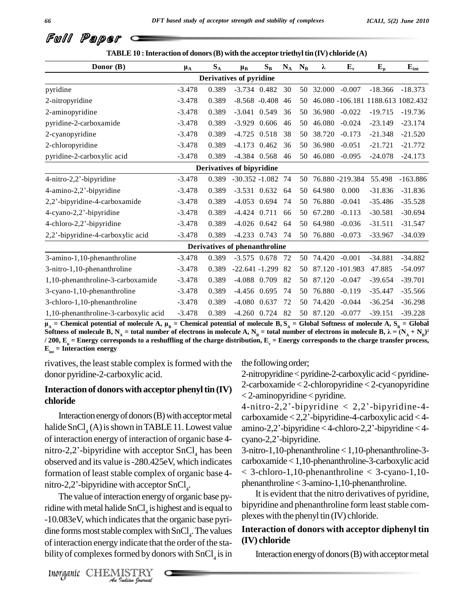| Donor (B)                             | $\mu_A$  | $S_A$ | $\mu_B$                        | $S_B$ | $N_A$ | $N_{B}$ | λ                | $E_v$              | $E_{\mu}$                         | $E_{int}$  |
|---------------------------------------|----------|-------|--------------------------------|-------|-------|---------|------------------|--------------------|-----------------------------------|------------|
|                                       |          |       | <b>Derivatives of pyridine</b> |       |       |         |                  |                    |                                   |            |
| pyridine                              | $-3.478$ | 0.389 | $-3.734$ 0.482                 |       | 30    |         | 50 32.000 -0.007 |                    | $-18.366$                         | $-18.373$  |
| 2-nitropyridine                       | $-3.478$ | 0.389 | $-8.568 - 0.408$ 46            |       |       | 50      |                  |                    | 46.080 -106.181 1188.613 1082.432 |            |
| 2-aminopyridine                       | $-3.478$ | 0.389 | $-3.041$ 0.549                 |       | 36    | 50      |                  | 36.980 -0.022      | $-19.715$                         | $-19.736$  |
| pyridine-2-carboxamide                | $-3.478$ | 0.389 | $-3.929$ 0.606                 |       | 46    | 50      | 46.080           | $-0.024$           | $-23.149$                         | $-23.174$  |
| 2-cyanopyridine                       | $-3.478$ | 0.389 | $-4.725$ 0.518                 |       | 38    | 50      | 38.720           | $-0.173$           | $-21.348$                         | $-21.520$  |
| 2-chloropyridine                      | $-3.478$ | 0.389 | $-4.173$ 0.462                 |       | 36    | 50      | 36.980           | $-0.051$           | $-21.721$                         | $-21.772$  |
| pyridine-2-carboxylic acid            | $-3.478$ | 0.389 | $-4.384$ 0.568                 |       | 46    |         | 50 46.080        | $-0.095$           | $-24.078$                         | $-24.173$  |
|                                       |          |       | Derivatives of bipyridine      |       |       |         |                  |                    |                                   |            |
| 4-nitro-2,2'-bipyridine               | $-3.478$ | 0.389 | $-30.352 - 1.082$ 74           |       |       |         |                  | 50 76.880 -219.384 | 55.498                            | $-163.886$ |
| 4-amino-2,2'-bipyridine               | $-3.478$ | 0.389 | $-3.531$ 0.632 64              |       |       |         | 50 64.980        | 0.000              | $-31.836$                         | $-31.836$  |
| 2,2'-bipyridine-4-carboxamide         | $-3.478$ | 0.389 | $-4.053$ 0.694                 |       | 74    |         | 50 76.880        | $-0.041$           | $-35.486$                         | $-35.528$  |
| 4-cyano-2,2'-bipyridine               | $-3.478$ | 0.389 | $-4.424$ 0.711                 |       | 66    | 50      | 67.280           | $-0.113$           | $-30.581$                         | $-30.694$  |
| 4-chloro-2,2'-bipyridine              | $-3.478$ | 0.389 | $-4.026$ 0.642                 |       | 64    |         | 50 64.980        | $-0.036$           | $-31.511$                         | $-31.547$  |
| 2,2'-bipyridine-4-carboxylic acid     | $-3.478$ | 0.389 | $-4.233$ 0.743                 |       | -74   |         | 50 76.880        | $-0.073$           | $-33.967$                         | $-34.039$  |
|                                       |          |       | Derivatives of phenanthroline  |       |       |         |                  |                    |                                   |            |
| 3-amino-1,10-phenanthroline           | $-3.478$ | 0.389 | $-3.575$ 0.678 72              |       |       |         | 50 74.420        | $-0.001$           | $-34.881$                         | $-34.882$  |
| 3-nitro-1,10-phenanthroline           | $-3.478$ | 0.389 | $-22.641 - 1.299$              |       | 82    | 50      |                  | 87.120 -101.983    | 47.885                            | $-54.097$  |
| 1,10-phenanthroline-3-carboxamide     | $-3.478$ | 0.389 | $-4.088$ 0.709                 |       | 82    | 50      | 87.120           | $-0.047$           | $-39.654$                         | $-39.701$  |
| 3-cyano-1,10-phenanthroline           | $-3.478$ | 0.389 | $-4.456$ 0.695                 |       | 74    | 50      | 76.880           | $-0.119$           | $-35.447$                         | $-35.566$  |
| 3-chloro-1,10-phenanthroline          | $-3.478$ | 0.389 | $-4.080$ 0.637                 |       | 72    | 50      | 74.420           | $-0.044$           | $-36.254$                         | $-36.298$  |
| 1,10-phenanthroline-3-carboxylic acid | $-3.478$ | 0.389 | $-4.260$ 0.724                 |       | 82    |         | 50 87.120        | $-0.077$           | $-39.151$                         | $-39.228$  |

1,10-phenanthroline-3-carboxylic acid -3.4/8 0.389 -4.260 0.724 82 50 87.120 -0.077 -39.151 -39.228<br>  $\mu_A$  = Chemical potential of molecule A,  $\mu_B$  = Chemical potential of molecule B,  $S_A$  = Global Softness of molecule A **) 2** Soluties of molecule **b**,  $N_A = \text{total number}$  of electrons in molecule A,  $N_B = \text{total number}$  of electrons in molecule **b**,  $\lambda = (N_A + N_B)^2$ <br>/ 200,  $E_{\mu} =$  Energy corresponds to a reshuffling of the charge distribution,  $E_{\nu} =$  Energy cor

rivatives, the least stable complex is formed with the donor pyridine-2-carboxylic acid.

#### **Interaction of donors with acceptor phenyltin (IV) chloride**

halide SnCl<sub>4</sub> (A) is shown in TABLE 11. Lowest value amino-<br>of interaction energy of interaction of organic base 4-cyano-<br>nitro-2,2'-bipyridine with acceptor SnCl<sub>4</sub> has been 3-nitroof interaction energy of interaction of organic base 4- % observed and its value is -280.425eV, which indicates carbo<br>formation of least stable complex of organic base 4-  $\leq$  3-<br>nitro-2,2'-bipyridine with acceptor SnCl<sub>4</sub>. formation of least stable complex of organic base 4nitro-2,2'-bipyridine with acceptor  $SnCl<sub>4</sub>$ .

-10.083eV, which indicates that the organic base pyri-<br>
dine forms most stable complex with SnCl<sub>4</sub>. The values<br>
of interaction energy indicate that the order of the sta-<br>
bility of complexes formed by donors with SnCl<sub>4</sub> The value of interaction energy of organic base pyridine with metal halide  $SnCl<sub>4</sub>$  is highest and is equal to players dine forms most stable complex with  $SnCl<sub>4</sub>$ . The values  $Inte<sub>4</sub>$ of interaction energy indicate that the order of the stability of complexes formed by donors with  $SnCl<sub>4</sub>$  is in Inter-

the following order;

2-nitropyridine<pyridine-2-carboxylic acid<pyridine-2-carboxamide < 2-chloropyridine < 2-cyanopyridine 4-nitro-2,2í-bipyridine <sup>&</sup>lt; 2,2í-bipyridine-4- < 2-aminopyridine < pyridine.

Interaction energy of donors (B) with acceptor metal carboxamide < 2,2'-bipyridine-4-carboxylic acid < 4-4-nitro-2,2'-bipyridine  $< 2,2$ '-bipyridine-4-4-nitro-2,2'-bipyridine < 2,2'-bipyridine-4-<br>carboxamide < 2,2'-bipyridine-4-carboxylic acid < 4-<br>amino-2,2'-bipyridine < 4-chloro-2,2'-bipyridine < 4carboxamide < 2,2'-bipyrid<br>amino-2,2'-bipyridine < 4-c<br>cyano-2,2'-bipyridine.

> 3-nitro-1,10-phenanthroline <1,10-phenanthroline-3 carboxamide<1,10-phenanthroline-3-carboxylic acid < 3-chloro-1,10-phenanthroline < 3-cyano-1,10 phenanthroline<3-amino-1,10-phenanthroline.

> It is evident that the nitro derivatives of pyridine, bipyridine and phenanthroline form least stable complexeswith the phenyl tin (IV) chloride.

#### **Interaction of donors with acceptor diphenyl tin (IV) chloride**

Interaction energy of donors  $(B)$  with acceptor metal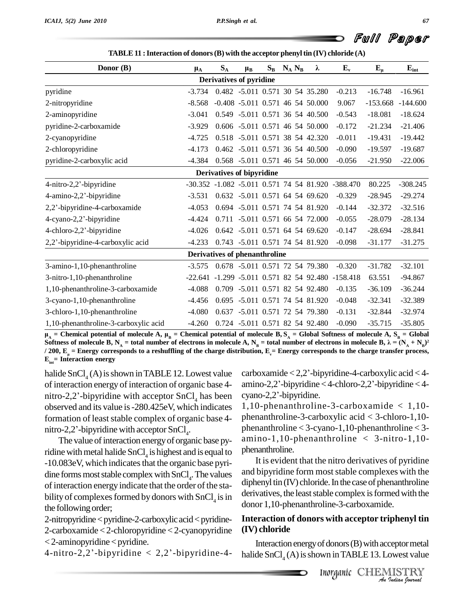| Donor (B)                             | $\mu_A$                              | $S_A$                            | $\mu_{B}$ | $S_B$ | $N_A N_B$ | λ                                    | $\mathbf{E}_{\mathbf{v}}$                         | $E_{\mu}$  | $E_{int}$  |
|---------------------------------------|--------------------------------------|----------------------------------|-----------|-------|-----------|--------------------------------------|---------------------------------------------------|------------|------------|
|                                       |                                      | <b>Derivatives of pyridine</b>   |           |       |           |                                      |                                                   |            |            |
| pyridine                              | $-3.734$                             |                                  |           |       |           | 0.482 -5.011 0.571 30 54 35.280      | $-0.213$                                          | $-16.748$  | $-16.961$  |
| 2-nitropyridine                       | $-8.568$                             |                                  |           |       |           | $-0.408$ $-5.011$ 0.571 46 54 50.000 | 9.067                                             | $-153.668$ | $-144.600$ |
| 2-aminopyridine                       | $-3.041$                             |                                  |           |       |           | 0.549 -5.011 0.571 36 54 40.500      | $-0.543$                                          | $-18.081$  | $-18.624$  |
| pyridine-2-carboxamide                | $-3.929$                             |                                  |           |       |           | 0.606 -5.011 0.571 46 54 50.000      | $-0.172$                                          | $-21.234$  | $-21.406$  |
| 2-cyanopyridine                       | $-4.725$                             |                                  |           |       |           | 0.518 -5.011 0.571 38 54 42.320      | $-0.011$                                          | $-19.431$  | $-19.442$  |
| 2-chloropyridine                      | $-4.173$                             |                                  |           |       |           | 0.462 -5.011 0.571 36 54 40.500      | $-0.090$                                          | $-19.597$  | $-19.687$  |
| pyridine-2-carboxylic acid            | $-4.384$                             |                                  |           |       |           | 0.568 -5.011 0.571 46 54 50.000      | $-0.056$                                          | $-21.950$  | $-22.006$  |
|                                       |                                      | <b>Derivatives of bipyridine</b> |           |       |           |                                      |                                                   |            |            |
| 4-nitro-2,2'-bipyridine               |                                      |                                  |           |       |           |                                      | -30.352 -1.082 -5.011 0.571 74 54 81.920 -388.470 | 80.225     | $-308.245$ |
| 4-amino-2,2'-bipyridine               | $-3.531$                             |                                  |           |       |           | 0.632 -5.011 0.571 64 54 69.620      | $-0.329$                                          | $-28.945$  | $-29.274$  |
| 2,2'-bipyridine-4-carboxamide         | $-4.053$                             |                                  |           |       |           | 0.694 -5.011 0.571 74 54 81.920      | $-0.144$                                          | $-32.372$  | $-32.516$  |
| 4-cyano-2,2'-bipyridine               | $-4.424$                             |                                  |           |       |           | 0.711 -5.011 0.571 66 54 72.000      | $-0.055$                                          | $-28.079$  | $-28.134$  |
| 4-chloro-2,2'-bipyridine              | $-4.026$                             |                                  |           |       |           | 0.642 -5.011 0.571 64 54 69.620      | $-0.147$                                          | $-28.694$  | $-28.841$  |
| 2,2'-bipyridine-4-carboxylic acid     | $-4.233$                             |                                  |           |       |           | 0.743 -5.011 0.571 74 54 81.920      | $-0.098$                                          | $-31.177$  | $-31.275$  |
|                                       | <b>Derivatives of phenanthroline</b> |                                  |           |       |           |                                      |                                                   |            |            |
| 3-amino-1,10-phenanthroline           | $-3.575$                             |                                  |           |       |           | 0.678 -5.011 0.571 72 54 79.380      | $-0.320$                                          | $-31.782$  | $-32.101$  |
| 3-nitro-1,10-phenanthroline           |                                      |                                  |           |       |           |                                      | -22.641 -1.299 -5.011 0.571 82 54 92.480 -158.418 | 63.551     | $-94.867$  |
| 1,10-phenanthroline-3-carboxamide     | $-4.088$                             |                                  |           |       |           | 0.709 -5.011 0.571 82 54 92.480      | $-0.135$                                          | $-36.109$  | $-36.244$  |
| 3-cyano-1,10-phenanthroline           | $-4.456$                             |                                  |           |       |           | 0.695 -5.011 0.571 74 54 81.920      | $-0.048$                                          | $-32.341$  | $-32.389$  |
| 3-chloro-1,10-phenanthroline          | $-4.080$                             |                                  |           |       |           | 0.637 -5.011 0.571 72 54 79.380      | $-0.131$                                          | $-32.844$  | $-32.974$  |
| 1,10-phenanthroline-3-carboxylic acid | $-4.260$                             |                                  |           |       |           | 0.724 -5.011 0.571 82 54 92.480      | $-0.090$                                          | $-35.715$  | $-35.805$  |

ibution, E<sub>v</sub>= Energy corresponds to the charge transfer process,<br>carboxamide < 2,2'-bipyridine-4-carboxylic acid < 4-1,10-phenanthroline-3-carboxylic acid -4.260 0.724 -5.011 0.571 82 54 92.480 -0.090 -35.715 -35.805<br>  $\mu_A$  = Chemical potential of molecule A,  $\mu_B$  = Chemical potential of molecule B,  $S_A$  = Global Softness of molecule A **) 2** Soluties of molecule **b**,  $N_A = \text{total number}$  of electrons in molecule A,  $N_B = \text{total number}$  of electrons in molecule **b**,  $\lambda = (N_A + N_B)^2$ <br>/ 200,  $E_{\mu} =$  Energy corresponds to a reshuffling of the charge distribution,  $E_{\nu} =$  Energy cor

halide SnCl<sub>4</sub> (A) is shown in TABLE 12. Lowest value carbox<br>of interaction energy of interaction of organic base 4- amino-<br>nitro-2,2'-bipyridine with acceptor SnCl<sub>4</sub> has been cyanoof interaction energy of interaction of organic base 4 observed and its value is-280.425eV, which indicates formation of least stable complex of organic base 4- phe observed and its value is -280.425eV, which information of least stable complex of organic bnitro-2,2'-bipyridine with acceptor SnCl<sub>4</sub>. nitro-2,2'-bipyridine with acceptor  $SnCl<sub>4</sub>$ .

The value of interaction energy of organic base pyridine with metal halide SnCl<sub>4</sub> is highest and is equal to phenan -10.083eV, which indicates that the organic base pyridine forms most stable complex with  $SnCl<sub>4</sub>$ . The values and l of interaction energy indicate that the order of the stability of complexes formed by donors with  $SnCl<sub>4</sub>$  is in the following order;

 $2$ -nitropyridine  $\lt$  pyridine- $2$ -carboxylic acid $\lt$  pyridine-2-carboxamide < 2-chloropyridine < 2-cyanopyridine (IV) **c**<br>
< 2-aminopyridine < pyridine. In<br>
4-nitro-2,2'-bipyridine < 2,2'-bipyridine-4- halide  $<$  2-aminopyridine  $<$  pyridine.

 $\text{amino-2,2'-bipyridine} < 4\text{-chloro-2,2'-bipyridine} < 4\text{-}$ carboxamide < 2,2'-bipyrid<br>amino-2,2'-bipyridine < 4-c<br>cyano-2,2'-bipyridine.

1,10-phenanthroline-3-carboxamide < 1,10 phenanthroline-3-carboxylic acid < 3-chloro-1,10 phenanthroline < 3-cyano-1,10-phenanthroline < 3 amino-1,10-phenanthroline < 3-nitro-1,10 phenanthroline.

 $\sin$  derivatives, the least stable complex is formed with the It is evident that the nitro derivatives of pyridine and bipyridine form most stable complexes with the diphenyl tin  $(IV)$  chloride. In the case of phenanthroline donor 1,10-phenanthroline-3-carboxamide.

# **IIIndo Example 11 Solution Schedule Section**<br> **III**<br> **III**<br> **INOYGANILE 13. Lowest value<br>
<b>INOYGANILE CHEMISTRY**<br> *An Quation Cournal An***Interaction of donors with acceptor triphenyl tin (IV) chloride**

Interaction energy of donors (B) with acceptor metal halide  $SnCl<sub>4</sub>(A)$  is shown in TABLE 13. Lowest value

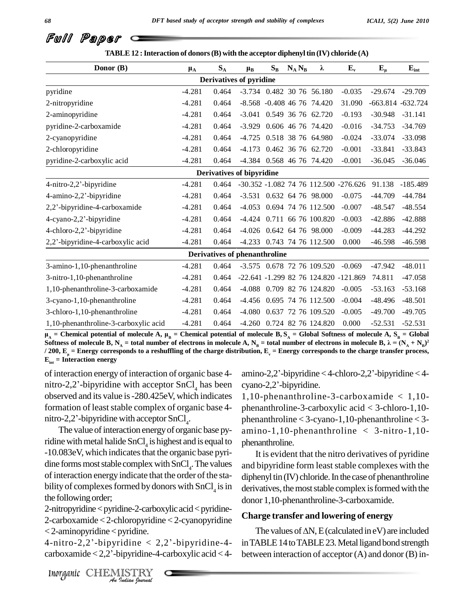| Donor (B)                             | $\mu_{\rm A}$ | $S_A$ | $\mu_{B}$                      | $S_B$ | $N_A N_B$ | λ                              | $E_{\nu}$                             | $E_{\mu}$            | $E_{int}$  |
|---------------------------------------|---------------|-------|--------------------------------|-------|-----------|--------------------------------|---------------------------------------|----------------------|------------|
|                                       |               |       | <b>Derivatives of pyridine</b> |       |           |                                |                                       |                      |            |
| pyridine                              | $-4.281$      | 0.464 |                                |       |           | -3.734 0.482 30 76 56.180      | $-0.035$                              | $-29.674$ $-29.709$  |            |
| 2-nitropyridine                       | $-4.281$      | 0.464 |                                |       |           | $-8.568$ $-0.408$ 46 76 74.420 | 31.090                                | $-663.814 - 632.724$ |            |
| 2-aminopyridine                       | $-4.281$      | 0.464 |                                |       |           | $-3.041$ 0.549 36 76 62.720    | $-0.193$                              | $-30.948$ $-31.141$  |            |
| pyridine-2-carboxamide                | $-4.281$      | 0.464 |                                |       |           | -3.929 0.606 46 76 74.420      | $-0.016$                              | $-34.753$            | $-34.769$  |
| 2-cyanopyridine                       | $-4.281$      | 0.464 |                                |       |           | -4.725 0.518 38 76 64.980      | $-0.024$                              | $-33.074$            | $-33.098$  |
| 2-chloropyridine                      | $-4.281$      | 0.464 |                                |       |           | -4.173 0.462 36 76 62.720      | $-0.001$                              | $-33.841$            | $-33.843$  |
| pyridine-2-carboxylic acid            | $-4.281$      | 0.464 |                                |       |           | -4.384 0.568 46 76 74.420      | $-0.001$                              | $-36.045$            | $-36.046$  |
|                                       |               |       | Derivatives of bipyridine      |       |           |                                |                                       |                      |            |
| 4-nitro-2,2'-bipyridine               | $-4.281$      | 0.464 |                                |       |           |                                | -30.352 -1.082 74 76 112.500 -276.626 | 91.138               | $-185.489$ |
| 4-amino-2,2'-bipyridine               | $-4.281$      | 0.464 |                                |       |           | $-3.531$ 0.632 64 76 98.000    | $-0.075$                              | $-44.709$            | $-44.784$  |
| 2,2'-bipyridine-4-carboxamide         | $-4.281$      | 0.464 |                                |       |           | -4.053 0.694 74 76 112.500     | $-0.007$                              | $-48.547$            | $-48.554$  |
| 4-cyano-2,2'-bipyridine               | $-4.281$      | 0.464 |                                |       |           | -4.424 0.711 66 76 100.820     | $-0.003$                              | $-42.886$            | $-42.888$  |
| 4-chloro-2,2'-bipyridine              | $-4.281$      | 0.464 |                                |       |           | -4.026 0.642 64 76 98.000      | $-0.009$                              | $-44.283$            | $-44.292$  |
| 2,2'-bipyridine-4-carboxylic acid     | $-4.281$      | 0.464 |                                |       |           | -4.233 0.743 74 76 112.500     | 0.000                                 | $-46.598$            | $-46.598$  |
|                                       |               |       | Derivatives of phenanthroline  |       |           |                                |                                       |                      |            |
| 3-amino-1,10-phenanthroline           | $-4.281$      | 0.464 |                                |       |           | -3.575 0.678 72 76 109.520     | $-0.069$                              | $-47.942$            | $-48.011$  |
| 3-nitro-1,10-phenanthroline           | $-4.281$      | 0.464 |                                |       |           |                                | -22.641 -1.299 82 76 124.820 -121.869 | 74.811               | $-47.058$  |
| 1,10-phenanthroline-3-carboxamide     | $-4.281$      | 0.464 |                                |       |           | -4.088 0.709 82 76 124.820     | $-0.005$                              | $-53.163$            | $-53.168$  |
| 3-cyano-1,10-phenanthroline           | $-4.281$      | 0.464 |                                |       |           | $-4.456$ 0.695 74 76 112.500   | $-0.004$                              | $-48.496$            | $-48.501$  |
| 3-chloro-1,10-phenanthroline          | $-4.281$      | 0.464 |                                |       |           | -4.080 0.637 72 76 109.520     | $-0.005$                              | $-49.700$            | $-49.705$  |
| 1,10-phenanthroline-3-carboxylic acid | $-4.281$      | 0.464 |                                |       |           | -4.260 0.724 82 76 124.820     | 0.000                                 | $-52.531$            | $-52.531$  |

bution, E<sub>v</sub> = Energy corresponds to the charge transfer process,<br>amino-2,2'-bipyridine < 4-chloro-2,2'-bipyridine < 4-1,10-phenanthroline-3-carboxylic acid -4.281 0.464 -4.260 0.724 82 76 124.820 0.000 -52.531 -52.531<br>  $\mu_A$  = Chemical potential of molecule A,  $\mu_B$  = Chemical potential of molecule B, S<sub>A</sub> = Global Softness of molecule A **) 2** Soluties of molecule B,  $N_A$  = total number of electrons in molecule A,  $N_B$  = total number of electrons in molecule B,  $\kappa = (N_A + N_B)$ <br>/ 200,  $E_{\mu}$  = Energy corresponds to a reshuffling of the charge distribution,  $E_{\nu}$ 

of interaction energy of interaction of organic base 4-  $E_{int}$  = Interaction energy<br>of interaction energy of interaction of organic base 4- amino-<br>nitro-2,2<sup>2</sup>-bipyridine with acceptor SnCl<sub>4</sub> has been cyano-2 observed and its value is-280.425eV, which indicates formation of least stable complex of organic base 4- phe observed and its value is -280.425eV, which information of least stable complex of organic bnitro-2,2'-bipyridine with acceptor SnCl<sub>4</sub>. nitro-2,2'-bipyridine with acceptor  $SnCl<sub>a</sub>$ .

The value of interaction energy of organic base pyridine with metal halide  $SnCl<sub>4</sub>$  is highest and is equal to phenan -10.083eV, which indicatesthat the organic base pyri dine forms most stable complex with  $SnCl<sub>4</sub>$ . The values and l of interaction energy indicate that the order of the stability of complexes formed by donors with  $SnCl<sub>4</sub>$  is in the following order;

2-carboxamide < 2-chloropyridine < 2-cyanopyridine<br>
4-nitro-2,2<sup>'</sup>-bipyridine < 2,2<sup>'</sup>-bipyridine-4- in TAI *I* discrete C<sub>Pyrame</sub> 2 discriptions (pyrame C<sub>Pyrame</sub> 2)<br> *I* carboxamide < 2-chloropyridine < 2-cyanopy<br> *I* aminopyridine < 2,2'-bipyridine < 2,2'-bipyridia<br> *arboxamide* < 2,2'-bipyridine-4-carboxylic acidental<br> *Inor*  $2$ -nitropyridine  $\lt$  pyridine- $2$ -carboxylic acid $\lt$  pyridine-<2-aminopyridine<pyridine.

4-nitro-2,2'-bipyridine < 2,2'-bipyridine-4-carboxylic acid < 4-

amino-2,2'-bipyridine<4-c<br>cyano-2,2'-bipyridine.

1,10-phenanthroline-3-carboxamide < 1,10 phenanthroline-3-carboxylic acid < 3-chloro-1,10 phenanthroline < 3-cyano-1,10-phenanthroline < 3 amino-1,10-phenanthroline < 3-nitro-1,10 phenanthroline.

is in derivatives, the most stable complex is formed with the It is evident that the nitro derivatives of pyridine and bipyridine form least stable complexes with the diphenyl tin  $(IV)$  chloride. In the case of phenanthroline donor 1,10-phenanthroline-3-carboxamide.

#### **Charge transfer and lowering of energy**

The values of  $\Delta N$ , E (calculated in eV) are included in TABLE 14 to TABLE 23. Metal ligand bond strength between interaction of acceptor  $(A)$  and donor  $(B)$  in-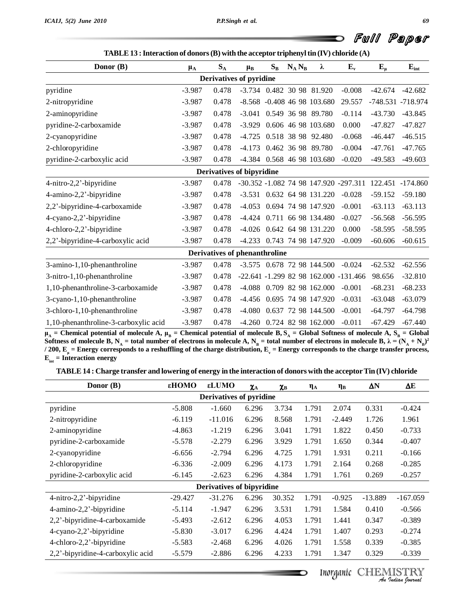Đ

| Donor (B)                             | $\mu_{\rm A}$ | $S_A$ | $\mu_{B}$                      | $S_B$ | $N_A N_B$ | λ                               | $E_{\nu}$                                              | $E_{\mu}$         | $E_{int}$ |
|---------------------------------------|---------------|-------|--------------------------------|-------|-----------|---------------------------------|--------------------------------------------------------|-------------------|-----------|
|                                       |               |       | <b>Derivatives of pyridine</b> |       |           |                                 |                                                        |                   |           |
| pyridine                              | $-3.987$      | 0.478 |                                |       |           | -3.734 0.482 30 98 81.920       | $-0.008$                                               | $-42.674$         | $-42.682$ |
| 2-nitropyridine                       | $-3.987$      | 0.478 |                                |       |           | $-8.568$ $-0.408$ 46 98 103.680 | 29.557                                                 | -748.531 -718.974 |           |
| 2-aminopyridine                       | $-3.987$      | 0.478 |                                |       |           | -3.041 0.549 36 98 89.780       | $-0.114$                                               | $-43.730$         | $-43.845$ |
| pyridine-2-carboxamide                | $-3.987$      | 0.478 |                                |       |           | -3.929 0.606 46 98 103.680      | 0.000                                                  | $-47.827$         | $-47.827$ |
| 2-cyanopyridine                       | $-3.987$      | 0.478 |                                |       |           | -4.725 0.518 38 98 92.480       | $-0.068$                                               | -46.447           | $-46.515$ |
| 2-chloropyridine                      | $-3.987$      | 0.478 |                                |       |           | -4.173 0.462 36 98 89.780       | $-0.004$                                               | $-47.761$         | $-47.765$ |
| pyridine-2-carboxylic acid            | $-3.987$      | 0.478 |                                |       |           | -4.384 0.568 46 98 103.680      | $-0.020$                                               | $-49.583$         | $-49.603$ |
|                                       |               |       | Derivatives of bipyridine      |       |           |                                 |                                                        |                   |           |
| 4-nitro-2,2'-bipyridine               | $-3.987$      | 0.478 |                                |       |           |                                 | -30.352 -1.082 74 98 147.920 -297.311 122.451 -174.860 |                   |           |
| 4-amino-2,2'-bipyridine               | $-3.987$      | 0.478 |                                |       |           | -3.531 0.632 64 98 131.220      | $-0.028$                                               | $-59.152$         | $-59.180$ |
| 2,2'-bipyridine-4-carboxamide         | $-3.987$      | 0.478 |                                |       |           | -4.053 0.694 74 98 147.920      | $-0.001$                                               | $-63.113$         | $-63.113$ |
| 4-cyano-2,2'-bipyridine               | $-3.987$      | 0.478 |                                |       |           | -4.424 0.711 66 98 134.480      | $-0.027$                                               | $-56.568$         | $-56.595$ |
| 4-chloro-2,2'-bipyridine              | $-3.987$      | 0.478 |                                |       |           | -4.026 0.642 64 98 131.220      | 0.000                                                  | $-58.595$         | $-58.595$ |
| 2,2'-bipyridine-4-carboxylic acid     | $-3.987$      | 0.478 |                                |       |           | -4.233 0.743 74 98 147.920      | $-0.009$                                               | $-60.606$         | $-60.615$ |
|                                       |               |       | Derivatives of phenanthroline  |       |           |                                 |                                                        |                   |           |
| 3-amino-1,10-phenanthroline           | $-3.987$      | 0.478 |                                |       |           | $-3.575$ 0.678 72 98 144.500    | $-0.024$                                               | $-62.532$         | $-62.556$ |
| 3-nitro-1,10-phenanthroline           | $-3.987$      | 0.478 |                                |       |           |                                 | $-22.641 - 1.299 82 98 162.000 - 131.466$              | 98.656            | $-32.810$ |
| 1,10-phenanthroline-3-carboxamide     | $-3.987$      | 0.478 |                                |       |           | -4.088 0.709 82 98 162.000      | $-0.001$                                               | $-68.231$         | $-68.233$ |
| 3-cyano-1,10-phenanthroline           | $-3.987$      | 0.478 |                                |       |           | -4.456 0.695 74 98 147.920      | $-0.031$                                               | $-63.048$         | $-63.079$ |
| 3-chloro-1,10-phenanthroline          | $-3.987$      | 0.478 |                                |       |           | -4.080 0.637 72 98 144.500      | $-0.001$                                               | $-64.797$         | $-64.798$ |
| 1,10-phenanthroline-3-carboxylic acid | $-3.987$      | 0.478 |                                |       |           | -4.260 0.724 82 98 162.000      | $-0.011$                                               | $-67.429$         | $-67.440$ |

1,10-phenanthroline-3-carboxylic acid -3.987 0.478 -4.260 0.724 82 98 162.000 -0.011 -67.429 -67.440<br>  $\mu_A$  = Chemical potential of molecule A,  $\mu_B$  = Chemical potential of molecule B,  $S_A$  = Global Softness of molecule **) 2** Soluties of molecule B,  $N_A$  = total number of electrons in molecule A,  $N_B$  = total number of electrons in molecule B,  $\kappa = (N_A + N_B)$ <br>/ 200,  $E_{\mu}$  = Energy corresponds to a reshuffling of the charge distribution,  $E_{\nu}$ 

| TABLE 14 : Charge transfer and lowering of energy in the interaction of donors with the acceptor Tin (IV) chloride |  |
|--------------------------------------------------------------------------------------------------------------------|--|
|--------------------------------------------------------------------------------------------------------------------|--|

| Donor (B)                         | εНОМО     | εLUMO                            | $\chi_{\rm A}$ | $\chi_{\rm B}$ | $\eta_A$ | $\eta_B$ | $\Delta N$ | ΔΕ         |
|-----------------------------------|-----------|----------------------------------|----------------|----------------|----------|----------|------------|------------|
|                                   |           | Derivatives of pyridine          |                |                |          |          |            |            |
| pyridine                          | $-5.808$  | $-1.660$                         | 6.296          | 3.734          | 1.791    | 2.074    | 0.331      | $-0.424$   |
| 2-nitropyridine                   | $-6.119$  | $-11.016$                        | 6.296          | 8.568          | 1.791    | $-2.449$ | 1.726      | 1.961      |
| 2-aminopyridine                   | $-4.863$  | $-1.219$                         | 6.296          | 3.041          | 1.791    | 1.822    | 0.450      | $-0.733$   |
| pyridine-2-carboxamide            | $-5.578$  | $-2.279$                         | 6.296          | 3.929          | 1.791    | 1.650    | 0.344      | $-0.407$   |
| 2-cyanopyridine                   | $-6.656$  | $-2.794$                         | 6.296          | 4.725          | 1.791    | 1.931    | 0.211      | $-0.166$   |
| 2-chloropyridine                  | $-6.336$  | $-2.009$                         | 6.296          | 4.173          | 1.791    | 2.164    | 0.268      | $-0.285$   |
| pyridine-2-carboxylic acid        | $-6.145$  | $-2.623$                         | 6.296          | 4.384          | 1.791    | 1.761    | 0.269      | $-0.257$   |
|                                   |           | <b>Derivatives of bipyridine</b> |                |                |          |          |            |            |
| 4-nitro-2,2'-bipyridine           | $-29.427$ | $-31.276$                        | 6.296          | 30.352         | 1.791    | $-0.925$ | $-13.889$  | $-167.059$ |
| $4$ -amino-2,2'-bipyridine        | $-5.114$  | $-1.947$                         | 6.296          | 3.531          | 1.791    | 1.584    | 0.410      | $-0.566$   |
| 2,2'-bipyridine-4-carboxamide     | $-5.493$  | $-2.612$                         | 6.296          | 4.053          | 1.791    | 1.441    | 0.347      | $-0.389$   |
| 4-cyano-2,2'-bipyridine           | $-5.830$  | $-3.017$                         | 6.296          | 4.424          | 1.791    | 1.407    | 0.293      | $-0.274$   |
| 4-chloro-2,2'-bipyridine          | $-5.583$  | $-2.468$                         | 6.296          | 4.026          | 1.791    | 1.558    | 0.339      | $-0.385$   |
| 2,2'-bipyridine-4-carboxylic acid | $-5.579$  | $-2.886$                         | 6.296          | 4.233          | 1.791    | 1.347    | 0.329      | $-0.339$   |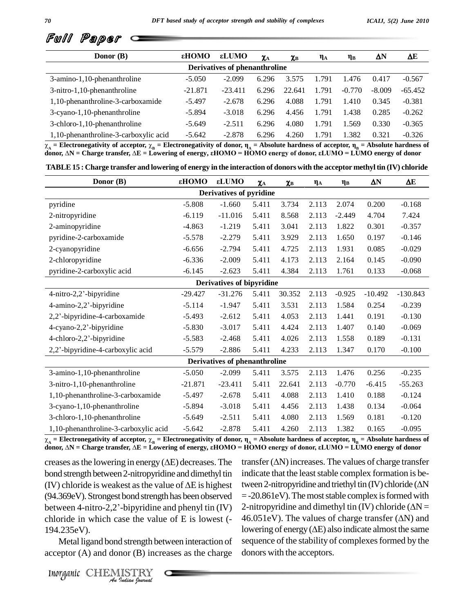

| Donor (B)                             | εHOMO     | εLUMO                         | $\chi_{\rm A}$ | $\chi_{\rm B}$ | $\eta_A$ | $\eta_B$ | ΔN       | ΔE        |
|---------------------------------------|-----------|-------------------------------|----------------|----------------|----------|----------|----------|-----------|
|                                       |           | Derivatives of phenanthroline |                |                |          |          |          |           |
| 3-amino-1,10-phenanthroline           | $-5.050$  | $-2.099$                      | 6.296          | 3.575          | 1.791    | 1.476    | 0.417    | $-0.567$  |
| 3-nitro-1,10-phenanthroline           | $-21.871$ | $-23.411$                     | 6.296          | 22.641         | 1.791    | $-0.770$ | $-8.009$ | $-65.452$ |
| 1,10-phenanthroline-3-carboxamide     | $-5.497$  | $-2.678$                      | 6.296          | 4.088          | 1.791    | 1.410    | 0.345    | $-0.381$  |
| 3-cyano-1,10-phenanthroline           | $-5.894$  | $-3.018$                      | 6.296          | 4.456          | 1.791    | 1.438    | 0.285    | $-0.262$  |
| 3-chloro-1,10-phenanthroline          | $-5.649$  | $-2.511$                      | 6.296          | 4.080          | 1.791    | 1.569    | 0.330    | $-0.365$  |
| 1,10-phenanthroline-3-carboxylic acid | $-5.642$  | $-2.878$                      | 6.296          | 4.260          | 1.791    | 1.382    | 0.321    | $-0.326$  |

1,10-phenanthroline-3-carboxylic acid -5.642 -2.878 6.296 4.260 1.791 1.382 0.321 -0.326<br>  $\chi_A$  = Electronegativity of acceptor,  $\chi_B$  = Electronegativity of donor,  $\eta_A$  = Absolute hardness of acceptor,  $\eta_B$  = Absolute

| TABLE 15 : Charge transfer and lowering of energy in the interaction of donors with the acceptor methyl tin (IV) chloride |  |
|---------------------------------------------------------------------------------------------------------------------------|--|
|                                                                                                                           |  |

| Donor (B)                             | εНОМО     | εLUMO                         | $\pmb{\chi}_{\rm A}$ | $\pmb{\chi}_{\rm B}$ | $\eta_A$ | $\eta_B$ | $\Delta N$ | $\Delta E$ |
|---------------------------------------|-----------|-------------------------------|----------------------|----------------------|----------|----------|------------|------------|
|                                       |           | Derivatives of pyridine       |                      |                      |          |          |            |            |
| pyridine                              | $-5.808$  | $-1.660$                      | 5.411                | 3.734                | 2.113    | 2.074    | 0.200      | $-0.168$   |
| 2-nitropyridine                       | $-6.119$  | $-11.016$                     | 5.411                | 8.568                | 2.113    | $-2.449$ | 4.704      | 7.424      |
| 2-aminopyridine                       | $-4.863$  | $-1.219$                      | 5.411                | 3.041                | 2.113    | 1.822    | 0.301      | $-0.357$   |
| pyridine-2-carboxamide                | $-5.578$  | $-2.279$                      | 5.411                | 3.929                | 2.113    | 1.650    | 0.197      | $-0.146$   |
| 2-cyanopyridine                       | $-6.656$  | $-2.794$                      | 5.411                | 4.725                | 2.113    | 1.931    | 0.085      | $-0.029$   |
| 2-chloropyridine                      | $-6.336$  | $-2.009$                      | 5.411                | 4.173                | 2.113    | 2.164    | 0.145      | $-0.090$   |
| pyridine-2-carboxylic acid            | $-6.145$  | $-2.623$                      | 5.411                | 4.384                | 2.113    | 1.761    | 0.133      | $-0.068$   |
|                                       |           | Derivatives of bipyridine     |                      |                      |          |          |            |            |
| 4-nitro-2,2'-bipyridine               | $-29.427$ | $-31.276$                     | 5.411                | 30.352               | 2.113    | $-0.925$ | $-10.492$  | $-130.843$ |
| 4-amino-2,2'-bipyridine               | $-5.114$  | $-1.947$                      | 5.411                | 3.531                | 2.113    | 1.584    | 0.254      | $-0.239$   |
| 2,2'-bipyridine-4-carboxamide         | $-5.493$  | $-2.612$                      | 5.411                | 4.053                | 2.113    | 1.441    | 0.191      | $-0.130$   |
| 4-cyano-2,2'-bipyridine               | $-5.830$  | $-3.017$                      | 5.411                | 4.424                | 2.113    | 1.407    | 0.140      | $-0.069$   |
| 4-chloro-2,2'-bipyridine              | $-5.583$  | $-2.468$                      | 5.411                | 4.026                | 2.113    | 1.558    | 0.189      | $-0.131$   |
| 2,2'-bipyridine-4-carboxylic acid     | $-5.579$  | $-2.886$                      | 5.411                | 4.233                | 2.113    | 1.347    | 0.170      | $-0.100$   |
|                                       |           | Derivatives of phenanthroline |                      |                      |          |          |            |            |
| 3-amino-1,10-phenanthroline           | $-5.050$  | $-2.099$                      | 5.411                | 3.575                | 2.113    | 1.476    | 0.256      | $-0.235$   |
| 3-nitro-1,10-phenanthroline           | $-21.871$ | $-23.411$                     | 5.411                | 22.641               | 2.113    | $-0.770$ | $-6.415$   | $-55.263$  |
| 1,10-phenanthroline-3-carboxamide     | $-5.497$  | $-2.678$                      | 5.411                | 4.088                | 2.113    | 1.410    | 0.188      | $-0.124$   |
| 3-cyano-1,10-phenanthroline           | $-5.894$  | $-3.018$                      | 5.411                | 4.456                | 2.113    | 1.438    | 0.134      | $-0.064$   |
| 3-chloro-1,10-phenanthroline          | $-5.649$  | $-2.511$                      | 5.411                | 4.080                | 2.113    | 1.569    | 0.181      | $-0.120$   |
| 1,10-phenanthroline-3-carboxylic acid | $-5.642$  | $-2.878$                      | 5.411                | 4.260                | 2.113    | 1.382    | 0.165      | $-0.095$   |

1,10-phenanthroline-3-carboxylic acid -5.642 -2.878 5.411 4.260 2.113 1.382 0.165 -0.095<br>  $\chi_A$  = Electronegativity of acceptor,  $\chi_B$  = Electronegativity of donor,  $\eta_A$  = Absolute hardness of acceptor,  $\eta_B$  = Absolute  $\chi_A$  = Electronegativity of acceptor,  $\chi_B$  = Electronegativity of donor,  $\eta_A$  = Absolute hardness of acceptor,  $\eta_B$  = Absolute hardness of donor,  $\Delta N$  = Charge transfer,  $\Delta E$  = Lowering of energy,  $\epsilon HOMO$  = HOMO ene

chloride in which case the value of E is lowest  $(-46.01)$ *Indian In which case the value of E is low*<br> *Indian Indian Bond strength between interact*<br> *Inorganic* CHEMISTRY<br> *A mation formal* bond strength between 2-nitropyridine and dimethyl tin indicat creases as the lowering in energy ( $\Delta E$ ) decreases. The tra<br>bond strength between 2-nitropyridine and dimethyl tin inc<br>(IV) chloride is weakest as the value of  $\Delta E$  is highest tw  $(94.369 \text{eV})$ . Strongest bond strength has been observed  $= -20.8$ (IV) chloride is weakest as the value of  $\Delta E$  is highest twe (94.369eV). Strongest bond strength has been observed = -2<br>between 4-nitro-2,2'-bipyridine and phenyl tin (IV) 2-ni 194.235eV).

indicate that the least stable complex formation is betransfer ( $\Delta N$ ) increases. The values of charge transfer<br>indicate that the least stable complex formation is be-<br>tween 2-nitropyridine and triethyl tin (IV) chloride ( $\Delta N$ = -20.861eV). The most stable complex is formed with<br>2-nitropyridine and dimethyl tin (IV) chloride ( $\Delta N$  =<br>46.051eV). The values of charge transfer ( $\Delta N$ ) and tween 2-nitropyridine and triethyl tin (IV) chloride ( $\Delta N$ <br>= -20.861eV). The most stable complex is formed with<br>2-nitropyridine and dimethyl tin (IV) chloride ( $\Delta N$  = 2-nitropyridine and dimethyl tin (IV) chloride ( $\Delta N$  = 46.051eV). The values of charge transfer ( $\Delta N$ ) and lowering of energy ( $\Delta E$ ) also indicate almost the same sequence of the stability of complexes formed by the donors with the acceptors.

Metal ligand bond strength between interaction of acceptor (A) and donor (B) increases as the charge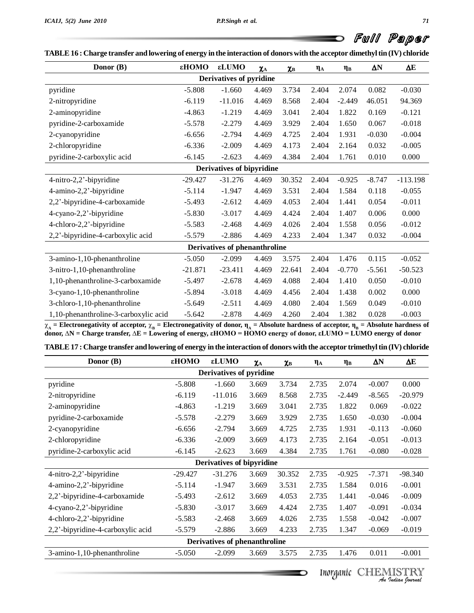D

| Donor (B)                             | εHOMO     | εLUMO                            | $\pmb{\chi}_{\rm A}$ | $\pmb{\chi}_{\rm B}$ | $\eta_{\rm A}$ | $\eta_B$ | $\Delta N$ | $\Delta E$ |
|---------------------------------------|-----------|----------------------------------|----------------------|----------------------|----------------|----------|------------|------------|
|                                       |           | Derivatives of pyridine          |                      |                      |                |          |            |            |
| pyridine                              | $-5.808$  | $-1.660$                         | 4.469                | 3.734                | 2.404          | 2.074    | 0.082      | $-0.030$   |
| 2-nitropyridine                       | $-6.119$  | $-11.016$                        | 4.469                | 8.568                | 2.404          | $-2.449$ | 46.051     | 94.369     |
| 2-aminopyridine                       | $-4.863$  | $-1.219$                         | 4.469                | 3.041                | 2.404          | 1.822    | 0.169      | $-0.121$   |
| pyridine-2-carboxamide                | $-5.578$  | $-2.279$                         | 4.469                | 3.929                | 2.404          | 1.650    | 0.067      | $-0.018$   |
| 2-cyanopyridine                       | $-6.656$  | $-2.794$                         | 4.469                | 4.725                | 2.404          | 1.931    | $-0.030$   | $-0.004$   |
| 2-chloropyridine                      | $-6.336$  | $-2.009$                         | 4.469                | 4.173                | 2.404          | 2.164    | 0.032      | $-0.005$   |
| pyridine-2-carboxylic acid            | $-6.145$  | $-2.623$                         | 4.469                | 4.384                | 2.404          | 1.761    | 0.010      | 0.000      |
|                                       |           | <b>Derivatives of bipyridine</b> |                      |                      |                |          |            |            |
| 4-nitro-2,2'-bipyridine               | $-29.427$ | $-31.276$                        | 4.469                | 30.352               | 2.404          | $-0.925$ | $-8.747$   | $-113.198$ |
| 4-amino-2,2'-bipyridine               | $-5.114$  | $-1.947$                         | 4.469                | 3.531                | 2.404          | 1.584    | 0.118      | $-0.055$   |
| 2,2'-bipyridine-4-carboxamide         | $-5.493$  | $-2.612$                         | 4.469                | 4.053                | 2.404          | 1.441    | 0.054      | $-0.011$   |
| 4-cyano-2,2'-bipyridine               | $-5.830$  | $-3.017$                         | 4.469                | 4.424                | 2.404          | 1.407    | 0.006      | 0.000      |
| 4-chloro-2,2'-bipyridine              | $-5.583$  | $-2.468$                         | 4.469                | 4.026                | 2.404          | 1.558    | 0.056      | $-0.012$   |
| 2,2'-bipyridine-4-carboxylic acid     | $-5.579$  | $-2.886$                         | 4.469                | 4.233                | 2.404          | 1.347    | 0.032      | $-0.004$   |
|                                       |           | Derivatives of phenanthroline    |                      |                      |                |          |            |            |
| 3-amino-1,10-phenanthroline           | $-5.050$  | $-2.099$                         | 4.469                | 3.575                | 2.404          | 1.476    | 0.115      | $-0.052$   |
| 3-nitro-1,10-phenanthroline           | $-21.871$ | $-23.411$                        | 4.469                | 22.641               | 2.404          | $-0.770$ | $-5.561$   | $-50.523$  |
| 1,10-phenanthroline-3-carboxamide     | $-5.497$  | $-2.678$                         | 4.469                | 4.088                | 2.404          | 1.410    | 0.050      | $-0.010$   |
| 3-cyano-1,10-phenanthroline           | $-5.894$  | $-3.018$                         | 4.469                | 4.456                | 2.404          | 1.438    | 0.002      | 0.000      |
| 3-chloro-1,10-phenanthroline          | $-5.649$  | $-2.511$                         | 4.469                | 4.080                | 2.404          | 1.569    | 0.049      | $-0.010$   |
| 1,10-phenanthroline-3-carboxylic acid | $-5.642$  | $-2.878$                         | 4.469                | 4.260                | 2.404          | 1.382    | 0.028      | $-0.003$   |

1,10-phenanthrolme-3-carboxylic acid -5.642 -2.878 4.469 4.260 2.404 1.382 0.028 -0.003<br>  $\chi_A$  = Electronegativity of acceptor,  $\chi_B$  = Electronegativity of donor,  $\eta_A$  = Absolute hardness of acceptor,  $\eta_B$  = Absolute h

|  | TABLE 17 : Charge transfer and lowering of energy in the interaction of donors with the acceptor trimethyl tin (IV) chloride |  |
|--|------------------------------------------------------------------------------------------------------------------------------|--|
|--|------------------------------------------------------------------------------------------------------------------------------|--|

| Donor (B)                         | εНОМО     | εLUMO                          | $\chi_{\rm A}$ | $\chi_{\rm B}$ | $\eta_A$ | $\eta_B$ | $\Delta \text{N}$ | $\Delta E$ |
|-----------------------------------|-----------|--------------------------------|----------------|----------------|----------|----------|-------------------|------------|
|                                   |           | <b>Derivatives of pyridine</b> |                |                |          |          |                   |            |
| pyridine                          | $-5.808$  | $-1.660$                       | 3.669          | 3.734          | 2.735    | 2.074    | $-0.007$          | 0.000      |
| 2-nitropyridine                   | $-6.119$  | $-11.016$                      | 3.669          | 8.568          | 2.735    | $-2.449$ | $-8.565$          | $-20.979$  |
| 2-aminopyridine                   | $-4.863$  | $-1.219$                       | 3.669          | 3.041          | 2.735    | 1.822    | 0.069             | $-0.022$   |
| pyridine-2-carboxamide            | $-5.578$  | $-2.279$                       | 3.669          | 3.929          | 2.735    | 1.650    | $-0.030$          | $-0.004$   |
| 2-cyanopyridine                   | $-6.656$  | $-2.794$                       | 3.669          | 4.725          | 2.735    | 1.931    | $-0.113$          | $-0.060$   |
| 2-chloropyridine                  | $-6.336$  | $-2.009$                       | 3.669          | 4.173          | 2.735    | 2.164    | $-0.051$          | $-0.013$   |
| pyridine-2-carboxylic acid        | $-6.145$  | $-2.623$                       | 3.669          | 4.384          | 2.735    | 1.761    | $-0.080$          | $-0.028$   |
|                                   |           | Derivatives of bipyridine      |                |                |          |          |                   |            |
| 4-nitro-2,2'-bipyridine           | $-29.427$ | $-31.276$                      | 3.669          | 30.352         | 2.735    | $-0.925$ | $-7.371$          | $-98.340$  |
| 4-amino-2,2'-bipyridine           | $-5.114$  | $-1.947$                       | 3.669          | 3.531          | 2.735    | 1.584    | 0.016             | $-0.001$   |
| 2,2'-bipyridine-4-carboxamide     | $-5.493$  | $-2.612$                       | 3.669          | 4.053          | 2.735    | 1.441    | $-0.046$          | $-0.009$   |
| 4-cyano-2,2'-bipyridine           | $-5.830$  | $-3.017$                       | 3.669          | 4.424          | 2.735    | 1.407    | $-0.091$          | $-0.034$   |
| 4-chloro-2,2'-bipyridine          | $-5.583$  | $-2.468$                       | 3.669          | 4.026          | 2.735    | 1.558    | $-0.042$          | $-0.007$   |
| 2,2'-bipyridine-4-carboxylic acid | $-5.579$  | $-2.886$                       | 3.669          | 4.233          | 2.735    | 1.347    | $-0.069$          | $-0.019$   |
|                                   |           | Derivatives of phenanthroline  |                |                |          |          |                   |            |
| 3-amino-1,10-phenanthroline       | $-5.050$  | $-2.099$                       | 3.669          | 3.575          | 2.735    | 1.476    | 0.011             | $-0.001$   |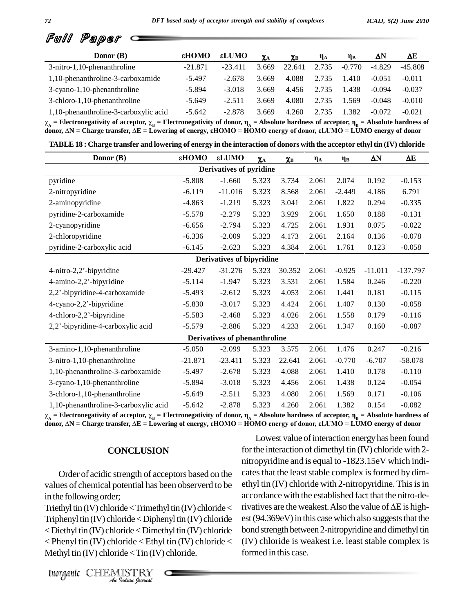

| Donor (B)                             | <b>CMOH3</b> | <b>εLUMO</b> | $\chi_{\rm A}$ | $\chi_{\rm B}$ | $\eta_A$ | $\eta_B$ | $\Delta N$ | ΔE        |
|---------------------------------------|--------------|--------------|----------------|----------------|----------|----------|------------|-----------|
| 3-nitro-1,10-phenanthroline           | $-21.871$    | $-23.411$    | 3.669          | 22.641         | 2.735    | $-0.770$ | $-4.829$   | $-45.808$ |
| 1,10-phenanthroline-3-carboxamide     | $-5.497$     | $-2.678$     | 3.669          | 4.088          | 2.735    | 1.410    | $-0.051$   | $-0.011$  |
| 3-cyano-1,10-phenanthroline           | $-5.894$     | $-3.018$     | 3.669          | 4.456          | 2.735    | 1.438    | $-0.094$   | $-0.037$  |
| 3-chloro-1,10-phenanthroline          | $-5.649$     | $-2.511$     | 3.669          | 4.080          | 2.735    | 1.569    | $-0.048$   | $-0.010$  |
| 1,10-phenanthroline-3-carboxylic acid | $-5.642$     | $-2.878$     | 3.669          | 4.260          | 2.735    | 1.382    | $-0.072$   | $-0.021$  |

1,10-phenanthroline-3-carboxylic acid -5.642 -2.878 3.669 4.260 2.735 1.382 -0.072 -0.021<br>  $\chi_A$  = Electronegativity of acceptor,  $\chi_B$  = Electronegativity of donor,  $\eta_A$  = Absolute hardness of acceptor,  $\eta_B$  = Absolute

|  |  | TABLE 18 : Charge transfer and lowering of energy in the interaction of donors with the acceptor ethyl tin (IV) chloride |  |
|--|--|--------------------------------------------------------------------------------------------------------------------------|--|
|--|--|--------------------------------------------------------------------------------------------------------------------------|--|

| Donor (B)                             | εHOMO     | εLUMO                            | $\pmb{\chi}_{\rm A}$ | $\pmb{\chi}_{\rm B}$ | $\eta_{\rm A}$ | $\eta_B$ | $\Delta N$ | $\Delta E$ |
|---------------------------------------|-----------|----------------------------------|----------------------|----------------------|----------------|----------|------------|------------|
|                                       |           | Derivatives of pyridine          |                      |                      |                |          |            |            |
| pyridine                              | $-5.808$  | $-1.660$                         | 5.323                | 3.734                | 2.061          | 2.074    | 0.192      | $-0.153$   |
| 2-nitropyridine                       | $-6.119$  | $-11.016$                        | 5.323                | 8.568                | 2.061          | $-2.449$ | 4.186      | 6.791      |
| 2-aminopyridine                       | $-4.863$  | $-1.219$                         | 5.323                | 3.041                | 2.061          | 1.822    | 0.294      | $-0.335$   |
| pyridine-2-carboxamide                | $-5.578$  | $-2.279$                         | 5.323                | 3.929                | 2.061          | 1.650    | 0.188      | $-0.131$   |
| 2-cyanopyridine                       | $-6.656$  | $-2.794$                         | 5.323                | 4.725                | 2.061          | 1.931    | 0.075      | $-0.022$   |
| 2-chloropyridine                      | $-6.336$  | $-2.009$                         | 5.323                | 4.173                | 2.061          | 2.164    | 0.136      | $-0.078$   |
| pyridine-2-carboxylic acid            | $-6.145$  | $-2.623$                         | 5.323                | 4.384                | 2.061          | 1.761    | 0.123      | $-0.058$   |
|                                       |           | <b>Derivatives of bipyridine</b> |                      |                      |                |          |            |            |
| 4-nitro-2,2'-bipyridine               | $-29.427$ | $-31.276$                        | 5.323                | 30.352               | 2.061          | $-0.925$ | $-11.011$  | $-137.797$ |
| 4-amino-2,2'-bipyridine               | $-5.114$  | $-1.947$                         | 5.323                | 3.531                | 2.061          | 1.584    | 0.246      | $-0.220$   |
| 2,2'-bipyridine-4-carboxamide         | $-5.493$  | $-2.612$                         | 5.323                | 4.053                | 2.061          | 1.441    | 0.181      | $-0.115$   |
| 4-cyano-2,2'-bipyridine               | $-5.830$  | $-3.017$                         | 5.323                | 4.424                | 2.061          | 1.407    | 0.130      | $-0.058$   |
| 4-chloro-2,2'-bipyridine              | $-5.583$  | $-2.468$                         | 5.323                | 4.026                | 2.061          | 1.558    | 0.179      | $-0.116$   |
| 2,2'-bipyridine-4-carboxylic acid     | $-5.579$  | $-2.886$                         | 5.323                | 4.233                | 2.061          | 1.347    | 0.160      | $-0.087$   |
|                                       |           | Derivatives of phenanthroline    |                      |                      |                |          |            |            |
| 3-amino-1,10-phenanthroline           | $-5.050$  | $-2.099$                         | 5.323                | 3.575                | 2.061          | 1.476    | 0.247      | $-0.216$   |
| 3-nitro-1,10-phenanthroline           | $-21.871$ | $-23.411$                        | 5.323                | 22.641               | 2.061          | $-0.770$ | $-6.707$   | $-58.078$  |
| 1,10-phenanthroline-3-carboxamide     | $-5.497$  | $-2.678$                         | 5.323                | 4.088                | 2.061          | 1.410    | 0.178      | $-0.110$   |
| 3-cyano-1,10-phenanthroline           | $-5.894$  | $-3.018$                         | 5.323                | 4.456                | 2.061          | 1.438    | 0.124      | $-0.054$   |
| 3-chloro-1,10-phenanthroline          | $-5.649$  | $-2.511$                         | 5.323                | 4.080                | 2.061          | 1.569    | 0.171      | $-0.106$   |
| 1,10-phenanthroline-3-carboxylic acid | $-5.642$  | $-2.878$                         | 5.323                | 4.260                | 2.061          | 1.382    | 0.154      | $-0.082$   |

1,10-phenanthroline-3-carboxylic acid -5.642 -2.878 5.323 4.260 2.061 1.382 0.154 -0.082<br>  $\chi_A$  = Electronegativity of acceptor,  $\chi_B$  = Electronegativity of donor,  $\eta_A$  = Absolute hardness of acceptor,  $\eta_B$  = Absolute

#### **CONCLUSION**

Order of acidic strength of acceptors based on the values of chemical potential has been observerd to be in the following order;

 $\text{Triphenyl tin (IV) chloride} < \text{Diphenyl tin (IV) chloride}$  est (94 *Indian Journal* Inorganic CHEMISTRY <Diethyl tin (IV) chloride<Dimethyltin (IV) chloride  $\langle$  Phenyl tin (IV) chloride  $\langle$  Ethyl tin (IV) chloride  $\langle$ Methyl tin  $(IV)$  chloride < Tin  $(IV)$  chloride.

Triethyl tin (IV) chloride < Trimethyl tin (IV) chloride  $\langle$  rivatives are the weakest. Also the value of  $\Delta E$  is high-Lowest value of interaction energy has been found for the interaction of dimethyl tin (IV) chloride with 2nitropyridine and isequal to -1823.15eV which indi cates that the least stable complex is formed by dimethyl tin (IV) chloride with 2-nitropyridine. This is in<br>accordance with the established fact that the nitro-de-<br>rivatives are the weakest. Also the value of  $\Delta E$  is highaccordance with the established fact that the nitro-deest  $(94.369eV)$  in this case which also suggests that the bond strength between 2-nitropyridine and dimethyl tin (IV) chloride is weakest i.e. least stable complex is formed in this case.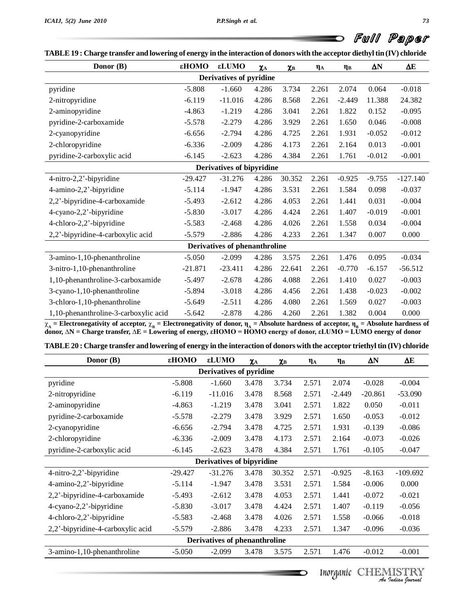O

| Donor (B)                             | εHOMO     | εLUMO                            | $\pmb{\chi}_{\rm A}$ | $\pmb{\chi}_{\rm B}$ | $\eta_{\rm A}$ | $\eta_B$ | $\Delta N$ | $\Delta E$ |
|---------------------------------------|-----------|----------------------------------|----------------------|----------------------|----------------|----------|------------|------------|
|                                       |           | Derivatives of pyridine          |                      |                      |                |          |            |            |
| pyridine                              | $-5.808$  | $-1.660$                         | 4.286                | 3.734                | 2.261          | 2.074    | 0.064      | $-0.018$   |
| 2-nitropyridine                       | $-6.119$  | $-11.016$                        | 4.286                | 8.568                | 2.261          | $-2.449$ | 11.388     | 24.382     |
| 2-aminopyridine                       | $-4.863$  | $-1.219$                         | 4.286                | 3.041                | 2.261          | 1.822    | 0.152      | $-0.095$   |
| pyridine-2-carboxamide                | $-5.578$  | $-2.279$                         | 4.286                | 3.929                | 2.261          | 1.650    | 0.046      | $-0.008$   |
| 2-cyanopyridine                       | $-6.656$  | $-2.794$                         | 4.286                | 4.725                | 2.261          | 1.931    | $-0.052$   | $-0.012$   |
| 2-chloropyridine                      | $-6.336$  | $-2.009$                         | 4.286                | 4.173                | 2.261          | 2.164    | 0.013      | $-0.001$   |
| pyridine-2-carboxylic acid            | $-6.145$  | $-2.623$                         | 4.286                | 4.384                | 2.261          | 1.761    | $-0.012$   | $-0.001$   |
|                                       |           | <b>Derivatives of bipyridine</b> |                      |                      |                |          |            |            |
| 4-nitro-2,2'-bipyridine               | $-29.427$ | $-31.276$                        | 4.286                | 30.352               | 2.261          | $-0.925$ | $-9.755$   | $-127.140$ |
| 4-amino-2,2'-bipyridine               | $-5.114$  | $-1.947$                         | 4.286                | 3.531                | 2.261          | 1.584    | 0.098      | $-0.037$   |
| 2,2'-bipyridine-4-carboxamide         | $-5.493$  | $-2.612$                         | 4.286                | 4.053                | 2.261          | 1.441    | 0.031      | $-0.004$   |
| 4-cyano-2,2'-bipyridine               | $-5.830$  | $-3.017$                         | 4.286                | 4.424                | 2.261          | 1.407    | $-0.019$   | $-0.001$   |
| 4-chloro-2,2'-bipyridine              | $-5.583$  | $-2.468$                         | 4.286                | 4.026                | 2.261          | 1.558    | 0.034      | $-0.004$   |
| 2,2'-bipyridine-4-carboxylic acid     | $-5.579$  | $-2.886$                         | 4.286                | 4.233                | 2.261          | 1.347    | 0.007      | 0.000      |
|                                       |           | Derivatives of phenanthroline    |                      |                      |                |          |            |            |
| 3-amino-1,10-phenanthroline           | $-5.050$  | $-2.099$                         | 4.286                | 3.575                | 2.261          | 1.476    | 0.095      | $-0.034$   |
| 3-nitro-1,10-phenanthroline           | $-21.871$ | $-23.411$                        | 4.286                | 22.641               | 2.261          | $-0.770$ | $-6.157$   | $-56.512$  |
| 1,10-phenanthroline-3-carboxamide     | $-5.497$  | $-2.678$                         | 4.286                | 4.088                | 2.261          | 1.410    | 0.027      | $-0.003$   |
| 3-cyano-1,10-phenanthroline           | $-5.894$  | $-3.018$                         | 4.286                | 4.456                | 2.261          | 1.438    | $-0.023$   | $-0.002$   |
| 3-chloro-1,10-phenanthroline          | $-5.649$  | $-2.511$                         | 4.286                | 4.080                | 2.261          | 1.569    | 0.027      | $-0.003$   |
| 1,10-phenanthroline-3-carboxylic acid | $-5.642$  | $-2.878$                         | 4.286                | 4.260                | 2.261          | 1.382    | 0.004      | 0.000      |

1,10-phenanthroline-3-carboxylic acid -5.642 -2.878 4.286 4.260 2.261 1.382 0.004 0.000<br>  $\chi_A$  = Electronegativity of acceptor,  $\chi_B$  = Electronegativity of donor,  $\eta_A$  = Absolute hardness of acceptor,  $\eta_B$  = Absolute h

| Donor (B)                         | εHOMO     | εLUMO                         | $\chi_{\rm A}$ | $\chi_{\rm B}$ | $\eta_A$ | $\eta_B$ | $\Delta N$ | $\Delta E$ |
|-----------------------------------|-----------|-------------------------------|----------------|----------------|----------|----------|------------|------------|
|                                   |           | Derivatives of pyridine       |                |                |          |          |            |            |
| pyridine                          | $-5.808$  | $-1.660$                      | 3.478          | 3.734          | 2.571    | 2.074    | $-0.028$   | $-0.004$   |
| 2-nitropyridine                   | $-6.119$  | $-11.016$                     | 3.478          | 8.568          | 2.571    | $-2.449$ | $-20.861$  | $-53.090$  |
| 2-aminopyridine                   | $-4.863$  | $-1.219$                      | 3.478          | 3.041          | 2.571    | 1.822    | 0.050      | $-0.011$   |
| pyridine-2-carboxamide            | $-5.578$  | $-2.279$                      | 3.478          | 3.929          | 2.571    | 1.650    | $-0.053$   | $-0.012$   |
| 2-cyanopyridine                   | $-6.656$  | $-2.794$                      | 3.478          | 4.725          | 2.571    | 1.931    | $-0.139$   | $-0.086$   |
| 2-chloropyridine                  | $-6.336$  | $-2.009$                      | 3.478          | 4.173          | 2.571    | 2.164    | $-0.073$   | $-0.026$   |
| pyridine-2-carboxylic acid        | $-6.145$  | $-2.623$                      | 3.478          | 4.384          | 2.571    | 1.761    | $-0.105$   | $-0.047$   |
|                                   |           | Derivatives of bipyridine     |                |                |          |          |            |            |
| 4-nitro-2,2'-bipyridine           | $-29.427$ | $-31.276$                     | 3.478          | 30.352         | 2.571    | $-0.925$ | $-8.163$   | $-109.692$ |
| 4-amino-2,2'-bipyridine           | $-5.114$  | $-1.947$                      | 3.478          | 3.531          | 2.571    | 1.584    | $-0.006$   | 0.000      |
| 2,2'-bipyridine-4-carboxamide     | $-5.493$  | $-2.612$                      | 3.478          | 4.053          | 2.571    | 1.441    | $-0.072$   | $-0.021$   |
| 4-cyano-2,2'-bipyridine           | $-5.830$  | $-3.017$                      | 3.478          | 4.424          | 2.571    | 1.407    | $-0.119$   | $-0.056$   |
| 4-chloro-2,2'-bipyridine          | $-5.583$  | $-2.468$                      | 3.478          | 4.026          | 2.571    | 1.558    | $-0.066$   | $-0.018$   |
| 2,2'-bipyridine-4-carboxylic acid | $-5.579$  | $-2.886$                      | 3.478          | 4.233          | 2.571    | 1.347    | $-0.096$   | $-0.036$   |
|                                   |           | Derivatives of phenanthroline |                |                |          |          |            |            |
| 3-amino-1,10-phenanthroline       | $-5.050$  | $-2.099$                      | 3.478          | 3.575          | 2.571    | 1.476    | $-0.012$   | $-0.001$   |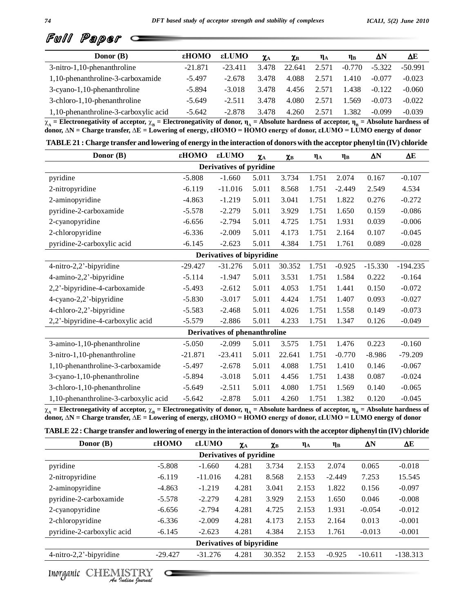

| Donor (B)                             | εHOMO     | εLUMO     | $\chi_{\rm A}$ | $\chi_{\rm B}$ | $\eta_A$ | $\eta_B$ | $\Delta N$ | ΔE        |
|---------------------------------------|-----------|-----------|----------------|----------------|----------|----------|------------|-----------|
| 3-nitro-1,10-phenanthroline           | $-21.871$ | $-23.411$ | 3.478          | 22.641         | 2.571    | $-0.770$ | $-5.322$   | $-50.991$ |
| 1,10-phenanthroline-3-carboxamide     | $-5.497$  | $-2.678$  | 3.478          | 4.088          | 2.571    | 1.410    | $-0.077$   | $-0.023$  |
| 3-cyano-1,10-phenanthroline           | $-5.894$  | $-3.018$  | 3.478          | 4.456          | 2.571    | 1.438    | $-0.122$   | $-0.060$  |
| 3-chloro-1,10-phenanthroline          | $-5.649$  | $-2.511$  | 3.478          | 4.080          | 2.571    | 1.569    | $-0.073$   | $-0.022$  |
| 1,10-phenanthroline-3-carboxylic acid | $-5.642$  | $-2.878$  | 3.478          | 4.260          | 2.571    | 1.382    | $-0.099$   | $-0.039$  |

1,10-phenanthroline-3-carboxylic acid -5.642 -2.878 3.478 4.260 2.571 1.382 -0.099 -0.039<br>  $\chi_A$  = Electronegativity of acceptor,  $\chi_B$  = Electronegativity of donor,  $\eta_A$  = Absolute hardness of acceptor,  $\eta_B$  = Absolute

| Donor (B)                             | εНОМО     | εLUMO                         | $\chi_{\rm A}$ | $\chi_{\rm B}$ | $\eta_A$ | $\eta_B$ | $\Delta N$ | ΔE         |
|---------------------------------------|-----------|-------------------------------|----------------|----------------|----------|----------|------------|------------|
|                                       |           | Derivatives of pyridine       |                |                |          |          |            |            |
| pyridine                              | $-5.808$  | $-1.660$                      | 5.011          | 3.734          | 1.751    | 2.074    | 0.167      | $-0.107$   |
| 2-nitropyridine                       | $-6.119$  | $-11.016$                     | 5.011          | 8.568          | 1.751    | $-2.449$ | 2.549      | 4.534      |
| 2-aminopyridine                       | $-4.863$  | $-1.219$                      | 5.011          | 3.041          | 1.751    | 1.822    | 0.276      | $-0.272$   |
| pyridine-2-carboxamide                | $-5.578$  | $-2.279$                      | 5.011          | 3.929          | 1.751    | 1.650    | 0.159      | $-0.086$   |
| 2-cyanopyridine                       | $-6.656$  | $-2.794$                      | 5.011          | 4.725          | 1.751    | 1.931    | 0.039      | $-0.006$   |
| 2-chloropyridine                      | $-6.336$  | $-2.009$                      | 5.011          | 4.173          | 1.751    | 2.164    | 0.107      | $-0.045$   |
| pyridine-2-carboxylic acid            | $-6.145$  | $-2.623$                      | 5.011          | 4.384          | 1.751    | 1.761    | 0.089      | $-0.028$   |
|                                       |           | Derivatives of bipyridine     |                |                |          |          |            |            |
| 4-nitro-2,2'-bipyridine               | $-29.427$ | $-31.276$                     | 5.011          | 30.352         | 1.751    | $-0.925$ | $-15.330$  | $-194.235$ |
| 4-amino-2,2'-bipyridine               | $-5.114$  | $-1.947$                      | 5.011          | 3.531          | 1.751    | 1.584    | 0.222      | $-0.164$   |
| 2,2'-bipyridine-4-carboxamide         | $-5.493$  | $-2.612$                      | 5.011          | 4.053          | 1.751    | 1.441    | 0.150      | $-0.072$   |
| 4-cyano-2,2'-bipyridine               | $-5.830$  | $-3.017$                      | 5.011          | 4.424          | 1.751    | 1.407    | 0.093      | $-0.027$   |
| 4-chloro-2,2'-bipyridine              | $-5.583$  | $-2.468$                      | 5.011          | 4.026          | 1.751    | 1.558    | 0.149      | $-0.073$   |
| 2,2'-bipyridine-4-carboxylic acid     | $-5.579$  | $-2.886$                      | 5.011          | 4.233          | 1.751    | 1.347    | 0.126      | $-0.049$   |
|                                       |           | Derivatives of phenanthroline |                |                |          |          |            |            |
| 3-amino-1,10-phenanthroline           | $-5.050$  | $-2.099$                      | 5.011          | 3.575          | 1.751    | 1.476    | 0.223      | $-0.160$   |
| 3-nitro-1,10-phenanthroline           | $-21.871$ | $-23.411$                     | 5.011          | 22.641         | 1.751    | $-0.770$ | $-8.986$   | $-79.209$  |
| 1,10-phenanthroline-3-carboxamide     | $-5.497$  | $-2.678$                      | 5.011          | 4.088          | 1.751    | 1.410    | 0.146      | $-0.067$   |
| 3-cyano-1,10-phenanthroline           | $-5.894$  | $-3.018$                      | 5.011          | 4.456          | 1.751    | 1.438    | 0.087      | $-0.024$   |
| 3-chloro-1,10-phenanthroline          | $-5.649$  | $-2.511$                      | 5.011          | 4.080          | 1.751    | 1.569    | 0.140      | $-0.065$   |
| 1,10-phenanthroline-3-carboxylic acid | $-5.642$  | $-2.878$                      | 5.011          | 4.260          | 1.751    | 1.382    | 0.120      | $-0.045$   |

 $\chi_A$  = Electronegativity of acceptor,  $\chi_B$  = Electronegativity of donor,  $\eta_A$  = Absolute hardness of acceptor,  $\eta_B$  = Absolute hardness of donor,  $\Delta N$  = Charge transfer,  $\Delta E$  = Lowering of energy,  $\varepsilon HOMO$  = HOMO energy of donor,  $\varepsilon LUMO$  = LUMO energy of donor

| Donor $(B)$                | εHOMO     | εLUMO                            | $\chi_{\rm A}$ | $\chi_{\rm B}$ | $\eta_A$ | $\eta_B$ | $\Delta N$ | ΔΕ         |
|----------------------------|-----------|----------------------------------|----------------|----------------|----------|----------|------------|------------|
|                            |           | Derivatives of pyridine          |                |                |          |          |            |            |
| pyridine                   | $-5.808$  | $-1.660$                         | 4.281          | 3.734          | 2.153    | 2.074    | 0.065      | $-0.018$   |
| 2-nitropyridine            | $-6.119$  | $-11.016$                        | 4.281          | 8.568          | 2.153    | $-2.449$ | 7.253      | 15.545     |
| 2-aminopyridine            | $-4.863$  | $-1.219$                         | 4.281          | 3.041          | 2.153    | 1.822    | 0.156      | $-0.097$   |
| pyridine-2-carboxamide     | $-5.578$  | $-2.279$                         | 4.281          | 3.929          | 2.153    | 1.650    | 0.046      | $-0.008$   |
| 2-cyanopyridine            | $-6.656$  | $-2.794$                         | 4.281          | 4.725          | 2.153    | 1.931    | $-0.054$   | $-0.012$   |
| 2-chloropyridine           | $-6.336$  | $-2.009$                         | 4.281          | 4.173          | 2.153    | 2.164    | 0.013      | $-0.001$   |
| pyridine-2-carboxylic acid | $-6.145$  | $-2.623$                         | 4.281          | 4.384          | 2.153    | 1.761    | $-0.013$   | $-0.001$   |
|                            |           | <b>Derivatives of bipyridine</b> |                |                |          |          |            |            |
| 4-nitro-2,2'-bipyridine    | $-29.427$ | $-31.276$                        | 4.281          | 30.352         | 2.153    | $-0.925$ | $-10.611$  | $-138.313$ |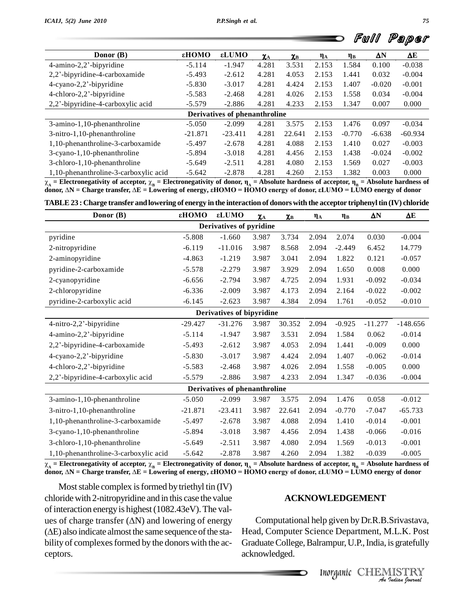|  | <b>-</b> Full Paper |  |
|--|---------------------|--|
|  |                     |  |

|                                                                                                                                                            |                 |           |                |                |          |          | Fwll     | Paper     |  |  |
|------------------------------------------------------------------------------------------------------------------------------------------------------------|-----------------|-----------|----------------|----------------|----------|----------|----------|-----------|--|--|
| Donor $(B)$                                                                                                                                                | $\epsilon$ HOMO | εLUMO     | $\chi_{\rm A}$ | $\chi_{\rm B}$ | $\eta_A$ | $\eta_B$ | ΔN       | ΔE        |  |  |
| $4$ -amino-2,2'-bipyridine                                                                                                                                 | $-5.114$        | $-1.947$  | 4.281          | 3.531          | 2.153    | 1.584    | 0.100    | $-0.038$  |  |  |
| 2,2'-bipyridine-4-carboxamide                                                                                                                              | $-5.493$        | $-2.612$  | 4.281          | 4.053          | 2.153    | 1.441    | 0.032    | $-0.004$  |  |  |
| $4$ -cyano-2,2'-bipyridine                                                                                                                                 | $-5.830$        | $-3.017$  | 4.281          | 4.424          | 2.153    | 1.407    | $-0.020$ | $-0.001$  |  |  |
| 4-chloro-2,2'-bipyridine                                                                                                                                   | $-5.583$        | $-2.468$  | 4.281          | 4.026          | 2.153    | 1.558    | 0.034    | $-0.004$  |  |  |
| 2,2'-bipyridine-4-carboxylic acid                                                                                                                          | $-5.579$        | $-2.886$  | 4.281          | 4.233          | 2.153    | 1.347    | 0.007    | 0.000     |  |  |
| Derivatives of phenanthroline                                                                                                                              |                 |           |                |                |          |          |          |           |  |  |
| 3-amino-1,10-phenanthroline                                                                                                                                | $-5.050$        | $-2.099$  | 4.281          | 3.575          | 2.153    | 1.476    | 0.097    | $-0.034$  |  |  |
| 3-nitro-1,10-phenanthroline                                                                                                                                | $-21.871$       | $-23.411$ | 4.281          | 22.641         | 2.153    | $-0.770$ | $-6.638$ | $-60.934$ |  |  |
| 1,10-phenanthroline-3-carboxamide                                                                                                                          | $-5.497$        | $-2.678$  | 4.281          | 4.088          | 2.153    | 1.410    | 0.027    | $-0.003$  |  |  |
| 3-cyano-1,10-phenanthroline                                                                                                                                | $-5.894$        | $-3.018$  | 4.281          | 4.456          | 2.153    | 1.438    | $-0.024$ | $-0.002$  |  |  |
| 3-chloro-1,10-phenanthroline                                                                                                                               | $-5.649$        | $-2.511$  | 4.281          | 4.080          | 2.153    | 1.569    | 0.027    | $-0.003$  |  |  |
| 1,10-phenanthroline-3-carboxylic acid                                                                                                                      | $-5.642$        | $-2.878$  | 4.281          | 4.260          | 2.153    | 1.382    | 0.003    | 0.000     |  |  |
| $\chi_A$ = Electronegativity of acceptor, $\chi_R$ = Electronegativity of donor, $\eta_A$ = Absolute hardness of acceptor, $\eta_R$ = Absolute hardness of |                 |           |                |                |          |          |          |           |  |  |

1,10-phenanthroline-3-carboxylic acid -5.642 -2.878 4.281 4.260 2.153 1.382 0.003 0.000<br>  $\chi_A$  = Electronegativity of acceptor,  $\chi_B$  = Electronegativity of donor,  $\eta_A$  = Absolute hardness of acceptor,  $\eta_B$  = Absolute h

| Donor (B)                             | εНОМО     | εLUMO                         | $\pmb{\chi}_{\rm A}$ | $\chi_{\rm B}$ | $\eta_{\rm A}$ | $\eta_B$ | $\Delta N$ | $\Delta E$ |
|---------------------------------------|-----------|-------------------------------|----------------------|----------------|----------------|----------|------------|------------|
|                                       |           | Derivatives of pyridine       |                      |                |                |          |            |            |
| pyridine                              | $-5.808$  | $-1.660$                      | 3.987                | 3.734          | 2.094          | 2.074    | 0.030      | $-0.004$   |
| 2-nitropyridine                       | $-6.119$  | $-11.016$                     | 3.987                | 8.568          | 2.094          | $-2.449$ | 6.452      | 14.779     |
| 2-aminopyridine                       | $-4.863$  | $-1.219$                      | 3.987                | 3.041          | 2.094          | 1.822    | 0.121      | $-0.057$   |
| pyridine-2-carboxamide                | $-5.578$  | $-2.279$                      | 3.987                | 3.929          | 2.094          | 1.650    | 0.008      | 0.000      |
| 2-cyanopyridine                       | $-6.656$  | $-2.794$                      | 3.987                | 4.725          | 2.094          | 1.931    | $-0.092$   | $-0.034$   |
| 2-chloropyridine                      | $-6.336$  | $-2.009$                      | 3.987                | 4.173          | 2.094          | 2.164    | $-0.022$   | $-0.002$   |
| pyridine-2-carboxylic acid            | $-6.145$  | $-2.623$                      | 3.987                | 4.384          | 2.094          | 1.761    | $-0.052$   | $-0.010$   |
|                                       |           | Derivatives of bipyridine     |                      |                |                |          |            |            |
| 4-nitro-2,2'-bipyridine               | $-29.427$ | $-31.276$                     | 3.987                | 30.352         | 2.094          | $-0.925$ | $-11.277$  | $-148.656$ |
| 4-amino-2,2'-bipyridine               | $-5.114$  | $-1.947$                      | 3.987                | 3.531          | 2.094          | 1.584    | 0.062      | $-0.014$   |
| 2,2'-bipyridine-4-carboxamide         | $-5.493$  | $-2.612$                      | 3.987                | 4.053          | 2.094          | 1.441    | $-0.009$   | 0.000      |
| 4-cyano-2,2'-bipyridine               | $-5.830$  | $-3.017$                      | 3.987                | 4.424          | 2.094          | 1.407    | $-0.062$   | $-0.014$   |
| 4-chloro-2,2'-bipyridine              | $-5.583$  | $-2.468$                      | 3.987                | 4.026          | 2.094          | 1.558    | $-0.005$   | 0.000      |
| 2,2'-bipyridine-4-carboxylic acid     | $-5.579$  | $-2.886$                      | 3.987                | 4.233          | 2.094          | 1.347    | $-0.036$   | $-0.004$   |
|                                       |           | Derivatives of phenanthroline |                      |                |                |          |            |            |
| 3-amino-1,10-phenanthroline           | $-5.050$  | $-2.099$                      | 3.987                | 3.575          | 2.094          | 1.476    | 0.058      | $-0.012$   |
| 3-nitro-1,10-phenanthroline           | $-21.871$ | $-23.411$                     | 3.987                | 22.641         | 2.094          | $-0.770$ | $-7.047$   | $-65.733$  |
| 1,10-phenanthroline-3-carboxamide     | $-5.497$  | $-2.678$                      | 3.987                | 4.088          | 2.094          | 1.410    | $-0.014$   | $-0.001$   |
| 3-cyano-1,10-phenanthroline           | $-5.894$  | $-3.018$                      | 3.987                | 4.456          | 2.094          | 1.438    | $-0.066$   | $-0.016$   |
| 3-chloro-1,10-phenanthroline          | $-5.649$  | $-2.511$                      | 3.987                | 4.080          | 2.094          | 1.569    | $-0.013$   | $-0.001$   |
| 1,10-phenanthroline-3-carboxylic acid | $-5.642$  | $-2.878$                      | 3.987                | 4.260          | 2.094          | 1.382    | $-0.039$   | $-0.005$   |

1,10-phenanthroline-3-carboxylic acid -5.642 -2.878 3.987 4.260 2.094 1.382 -0.039 -0.005<br>  $\chi_A$  = Electronegativity of acceptor,  $\chi_B$  = Electronegativity of donor,  $\eta_A$  = Absolute hardness of acceptor,  $\eta_B$  = Absolute

Most stable complex is formed by triethyl tin (IV) chloride with 2-nitropyridine and in this case the value of interaction energy is highest (1082.43eV). The valchloride with 2-nitropyridine and in this case the value<br>of interaction energy is highest (1082.43eV). The val-<br>ues of charge transfer ( $\Delta N$ ) and lowering of energy Co of interaction energy is highest (1082.43eV). The values of charge transfer ( $\Delta N$ ) and lowering of energy ( $\Delta E$ ) also indicate almost the same sequence of the stability of complexes formed by the donors with the acceptors.

#### **ACKNOWLEDGEMENT**

Ip given by Dr.R.B.Srivastava,<br>nce Department, M.L.K. Post<br>rampur, U.P., India, is gratefully<br>*Inorganic* CHEMISTRY *An*Computational help given by Dr.R.B.Srivastava, Head, Computer Science Department, M.L.K. Post Graduate College, Balrampur, U.P., India, is gratefully acknowledged.